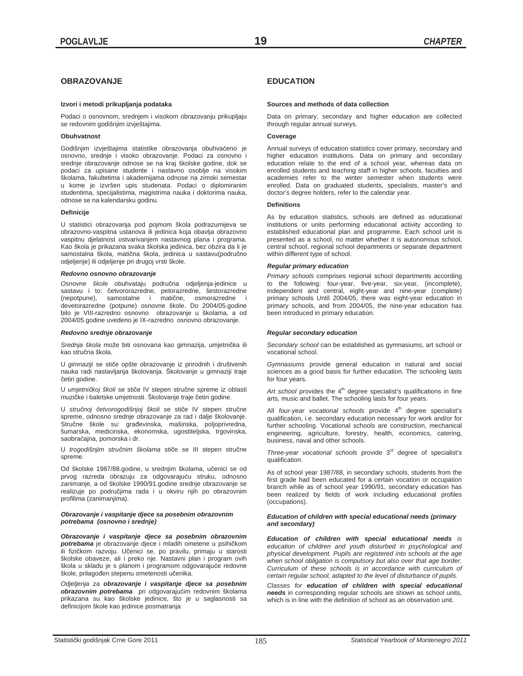## **OBRAZOVANJE**

## **Izvori i metodi prikupljanja podataka**

Podaci o osnovnom, srednjem i visokom obrazovanju prikupljaju se redovnim godišnjim izvještajima.

## **Obuhvatnost**

Godišnjim izvještajima statistike obrazovanja obuhvaćeno je osnovno, srednje i visoko obrazovanje. Podaci za osnovno i srednje obrazovanje odnose se na kraj školske godine, dok se podaci za upisane studente i nastavno osoblje na visokim školama, fakultetima i akademijama odnose na zimski semestar u kome je izvršen upis studenata. Podaci o diplomiranim studentima, specijalistima, magistrima nauka i doktorima nauka, odnose se na kalendarsku godinu.

## **Definicije**

U statistici obrazovanja pod pojmom škola podrazumijeva se obrazovno-vaspitna ustanova ili jedinica koja obavlja obrazovno vaspitnu djelatnost ostvarivanjem nastavnog plana i programa. Kao škola je prikazana svaka školska jedinica, bez obzira da li je samostalna škola, matična škola, jedinica u sastavu(područno odjeljenje) ili odjeljenje pri drugoj vrsti škole.

### *Redovno osnovno obrazovanje*

Osnovne škole obuhvataju područna odjeljenja-jedinice u sastavu i to: četvororazredne, petorazredne, šestorazredne<br>(nepotpune), samostalne i matične, osmorazredne i (nepotpune), samostalne i matične, devetorazredne (potpune) osnovne škole. Do 2004/05.godine bilo je VIII-razredno osnovno obrazovanje u školama, a od 2004/05.godine uvedeno je IX-razredno osnovno obrazovanje.

## *Redovno srednje obrazovanje*

Srednja škola može biti osnovana kao gimnazija, umjetnička ili kao stručna škola.

U *gimnaziji* se stiče opšte obrazovanje iz prirodnih i društvenih nauka radi nastavljanja školovanja. Školovanje u gimnaziji traje četiri godine.

U *umjetničkoj školi* se stiče IV stepen stručne spreme iz oblasti muzičke i baletske umjetnosti. Školovanje traje četiri godine.

U stručnoj četvorogodišnjoj školi se stiče IV stepen stručne spreme, odnosno srednje obrazovanje za rad i dalje školovanje. Stručne škole su: građevinska, mašinska, poljoprivredna, šumarska, medicinska, ekonomska, ugostiteljska, trgovinska, saobraćajna, pomorska i dr.

U *trogodišnjim stručnim školama* stiče se III stepen stručne spreme.

Od školske 1987/88.godine, u srednjim školama, učenici se od prvog razreda obrazuju za odgovarajuću struku, odnosno zanimanje, a od školske 1990/91.godine srednje obrazovanje se realizuje po područjima rada i u okviru njih po obrazovnim profilima (zanimanjima).

## *Obrazovanje i vaspitanje djece sa posebnim obrazovnim potrebama (osnovno i srednje)*

*Obrazovanje i vaspitanje djece sa posebnim obrazovnim*  potrebama je obrazovanje djece i mladih ometene u psihičkom ili fizičkom razvoju. Učenici se, po pravilu, primaju u starosti školske obaveze, ali i preko nje. Nastavni plan i program ovih škola u skladu je s planom i programom odgovarajuće redovne škole, prilagođen stepenu ometenosti učenika.

*Odjeljenja* za *obrazovanje i vaspitanje djece sa posebnim obrazovnim potrebama* pri odgovarajuüim redovnim školama prikazana su kao školske jedinice, što je u saglasnosti sa definicijom škole kao jedinice posmatranja

## **EDUCATION**

### **Sources and methods of data collection**

Data on primary, secondary and higher education are collected through regular annual surveys.

## **Coverage**

Annual surveys of education statistics cover primary, secondary and higher education institutions. Data on primary and secondary education relate to the end of a school year, whereas data on enrolled students and teaching staff in higher schools, faculties and academies refer to the winter semester when students were enrolled. Data on graduated students, specialists, master's and doctor's degree holders, refer to the calendar year.

## **Definitions**

As by education statistics, schools are defined as educational institutions or units performing educational activity according to established educational plan and programme. Each school unit is presented as a school, no matter whether it is autonomous school, central school, regional school departments or separate department within different type of school.

## *Regular primary education*

*Primary schools* comprises regional school departments according to the following: four-year, five-year, six-year, (incomplete), independent and central, eight-year and nine-year (complete) primary schools Until 2004/05, there was eight-year education in primary schools, and from 2004/05, the nine-year education has been introduced in primary education.

## *Regular secondary education*

*Secondary school* can be established as gymnasiums, art school or vocational school.

*Gymnasiums* provide general education in natural and social sciences as a good basis for further education. The schooling lasts for four years.

Art school provides the 4<sup>th</sup> degree specialist's qualifications in fine arts, music and ballet. The schooling lasts for four years.

All *four-year vocational schools* provide 4<sup>th</sup> degree specialist's qualification, i.e. secondary education necessary for work and/or for further schooling. Vocational schools are construction, mechanical engineering, agriculture, forestry, health, economics, catering, business, naval and other schools.

*Three-year vocational schools* provide 3rd degree of specialist's qualification.

As of school year 1987/88, in secondary schools, students from the first grade had been educated for a certain vocation or occupation branch while as of school year 1990/91, secondary education has been realized by fields of work including educational profiles (occupations).

### *Education of children with special educational needs (primary and secondary)*

*Education of children with special educational needs is education of children and youth disturbed in psychological and physical development. Pupils are registered into schools at the age when school obligation is compulsory but also over that age border. Curriculum of these schools is in accordance with curriculum of certain regular school, adapted to the level of disturbance of pupils.* 

*Classes for education of children with special educational needs* in corresponding regular schools are shown as school units, which is in line with the definition of school as an observation unit.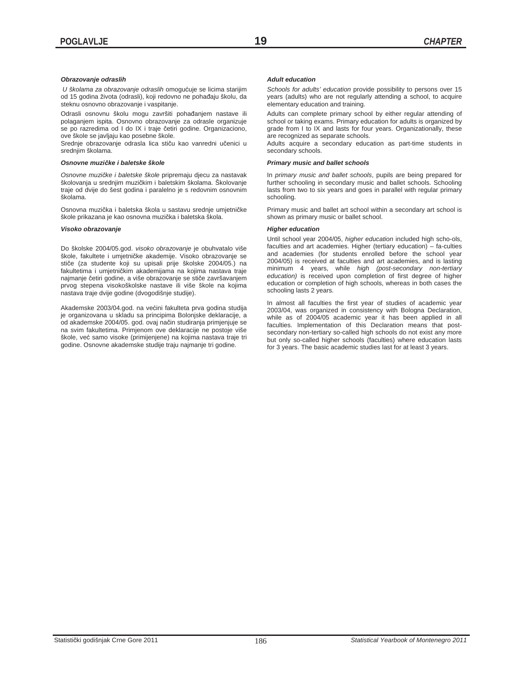## *Obrazovanje odraslih*

 *U školama za obrazovanje odraslih* omoguüuje se licima starijim od 15 godina života (odrasli), koji redovno ne pohađaju školu, da steknu osnovno obrazovanje i vaspitanje.

Odrasli osnovnu školu mogu završiti pohađanjem nastave ili polaganjem ispita. Osnovno obrazovanje za odrasle organizuje se po razredima od I do IX i traje četiri godine. Organizaciono, ove škole se javljaju kao posebne škole.

Srednje obrazovanje odrasla lica stiču kao vanredni učenici u srednjim školama.

## *Osnovne muziþke i baletske škole*

*Osnovne muziþke i baletske škole* pripremaju djecu za nastavak školovanja u srednjim muzičkim i baletskim školama. Školovanje traje od dvije do šest godina i paralelno je s redovnim osnovnim školama.

Osnovna muzička i baletska škola u sastavu srednje umjetničke škole prikazana je kao osnovna muzička i baletska škola.

## *Visoko obrazovanje*

Do školske 2004/05.god. *visoko obrazovanje* je obuhvatalo više škole, fakultete i umjetničke akademije. Visoko obrazovanje se stiče (za studente koji su upisali prije školske 2004/05.) na fakultetima i umjetničkim akademijama na kojima nastava traje najmanje četiri godine, a više obrazovanje se stiče završavanjem prvog stepena visokoškolske nastave ili više škole na kojima nastava traje dvije godine (dvogodišnje studije).

Akademske 2003/04.god. na većini fakulteta prva godina studija je organizovana u skladu sa principima Bolonjske deklaracije, a od akademske 2004/05. god. ovaj način studiranja primjenjuje se na svim fakultetima. Primjenom ove deklaracije ne postoje više škole, već samo visoke (primijenjene) na kojima nastava traje tri godine. Osnovne akademske studije traju najmanje tri godine.

### *Adult education*

*Schools for adults' education* provide possibility to persons over 15 years (adults) who are not regularly attending a school, to acquire elementary education and training.

Adults can complete primary school by either regular attending of school or taking exams. Primary education for adults is organized by grade from I to IX and lasts for four years. Organizationally, these are recognized as separate schools.

Adults acquire a secondary education as part-time students in secondary schools.

## *Primary music and ballet schools*

In *primary music and ballet schools*, pupils are being prepared for further schooling in secondary music and ballet schools. Schooling lasts from two to six years and goes in parallel with regular primary schooling.

Primary music and ballet art school within a secondary art school is shown as primary music or ballet school.

### *Higher education*

Until school year 2004/05, *higher education* included high scho-ols, faculties and art academies. Higher (tertiary education) – fa-culties and academies (for students enrolled before the school year 2004/05) is received at faculties and art academies, and is lasting minimum 4 years, while *high (post-secondary non-tertiary education)* is received upon completion of first degree of higher education or completion of high schools, whereas in both cases the schooling lasts 2 years.

In almost all faculties the first year of studies of academic year 2003/04, was organized in consistency with Bologna Declaration, while as of 2004/05 academic year it has been applied in all faculties. Implementation of this Declaration means that postsecondary non-tertiary so-called high schools do not exist any more but only so-called higher schools (faculties) where education lasts for 3 years. The basic academic studies last for at least 3 years.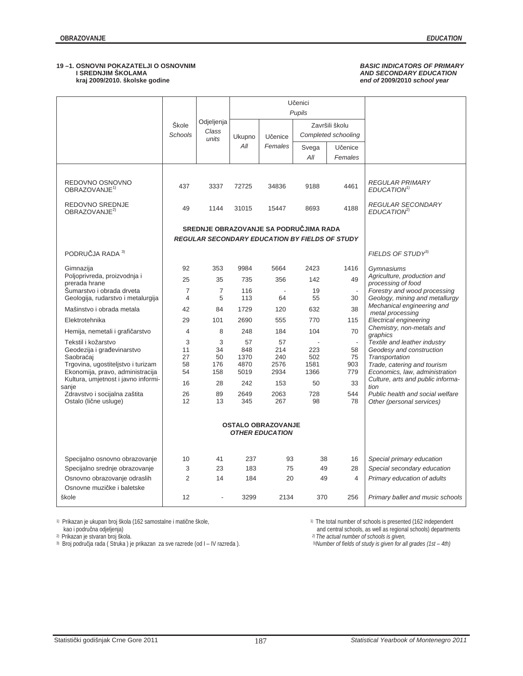## **19 –1. OSNOVNI POKAZATELJI O OSNOVNIM** *BASIC INDICATORS OF PRIMARY*  **kraj 2009/2010. školske godine** *end of* **2009/2010** *school year*

# *AND SECONDARY EDUCATION*<br> *AND SECONDARY EDUCATION*<br> *And of 2009/2010 school year*

|                                               | Škole<br>Schools | Odjeljenja<br>Class<br>units | Ukupno      | Učenice                                               |              | Završili školu<br>Completed schooling |                                                              |
|-----------------------------------------------|------------------|------------------------------|-------------|-------------------------------------------------------|--------------|---------------------------------------|--------------------------------------------------------------|
|                                               |                  |                              | All         | Females                                               | Svega<br>All | Učenice<br>Females                    |                                                              |
| REDOVNO OSNOVNO<br>OBRAZOVANJE <sup>1)</sup>  | 437              | 3337                         | 72725       | 34836                                                 | 9188         | 4461                                  | <b>REGULAR PRIMARY</b><br>EDUCATION <sup>1)</sup>            |
| REDOVNO SREDNJE<br>OBRAZOVANJE <sup>2)</sup>  | 49               | 1144                         | 31015       | 15447                                                 | 8693         | 4188                                  | <b>REGULAR SECONDARY</b><br>EDUCATION <sup>2</sup>           |
|                                               |                  |                              |             | SREDNJE OBRAZOVANJE SA PODRUČJIMA RADA                |              |                                       |                                                              |
|                                               |                  |                              |             | <b>REGULAR SECONDARY EDUCATION BY FIELDS OF STUDY</b> |              |                                       |                                                              |
| PODRUČJA RADA 3)                              |                  |                              |             |                                                       |              |                                       | FIELDS OF STUDY <sup>3)</sup>                                |
| Gimnazija                                     | 92               | 353                          | 9984        | 5664                                                  | 2423         | 1416                                  | Gymnasiums                                                   |
| Poljoprivreda, proizvodnja i<br>prerada hrane | 25               | 35                           | 735         | 356                                                   | 142          | 49                                    | Agriculture, production and<br>processing of food            |
| Šumarstvo i obrada drveta                     | $\overline{7}$   | $\overline{7}$               | 116         |                                                       | 19           |                                       | Forestry and wood processing                                 |
| Geologija, rudarstvo i metalurgija            | 4                | 5                            | 113         | 64                                                    | 55           | 30                                    | Geology, mining and metallurgy<br>Mechanical engineering and |
| Mašinstvo i obrada metala                     | 42               | 84                           | 1729        | 120                                                   | 632          | 38                                    | metal processing                                             |
| Elektrotehnika                                | 29               | 101                          | 2690        | 555                                                   | 770          | 115                                   | Electrical engineering                                       |
| Hemija, nemetali i grafičarstvo               | 4                | 8                            | 248         | 184                                                   | 104          | 70                                    | Chemistry, non-metals and<br>graphics                        |
| Tekstil i kožarstvo                           | 3                | 3                            | 57          | 57                                                    |              | $\overline{\phantom{a}}$              | Textile and leather industry                                 |
| Geodezija i građevinarstvo<br>Saobraćaj       | 11<br>27         | 34<br>50                     | 848<br>1370 | 214<br>240                                            | 223<br>502   | 58<br>75                              | Geodesy and construction<br>Transportation                   |
| Trgovina, ugostiteljstvo i turizam            | 58               | 176                          | 4870        | 2576                                                  | 1581         | 903                                   | Trade, catering and tourism                                  |
| Ekonomija, pravo, administracija              | 54               | 158                          | 5019        | 2934                                                  | 1366         | 779                                   | Economics, law, administration                               |
| Kultura, umjetnost i javno informi-<br>sanje  | 16               | 28                           | 242         | 153                                                   | 50           | 33                                    | Culture, arts and public informa-<br>tion                    |
| Zdravstvo i socijalna zaštita                 | 26               | 89                           | 2649        | 2063                                                  | 728          | 544                                   | Public health and social welfare                             |
| Ostalo (lične usluge)                         | 12               | 13                           | 345         | 267                                                   | 98           | 78                                    | Other (personal services)                                    |
|                                               |                  |                              |             |                                                       |              |                                       |                                                              |
| Specijalno osnovno obrazovanje                | 10               | 41                           | 237         | 93                                                    | 38           | 16                                    | Special primary education                                    |
| Specijalno srednje obrazovanje                | 3                | 23                           | 183         | 75                                                    | 49           | 28                                    | Special secondary education                                  |
| Osnovno obrazovanje odraslih                  | $\overline{2}$   | 14                           | 184         | 20                                                    | 49           | 4                                     | Primary education of adults                                  |
| Osnovne muzičke i baletske                    |                  |                              |             |                                                       |              |                                       |                                                              |
| škole                                         | 12               |                              | 3299        | 2134                                                  | 370          | 256                                   | Primary ballet and music schools                             |

1) Prikazan je ukupan broj škola (162 samostalne i matične škole,<br>1) The total numer of schools is presented (162 independented in the schools in the school school schools in

<sup>2)</sup> Prikazan je stvaran broj škola.<br><sup>3)</sup> Broj područja rada ( Struka ) je prikazan za sve razrede (od I – IV razreda ).

<sup>1)</sup> The total number of schools is presented (162 independent and central schools, as well as regional schools) departments <sup>2)</sup> The actual number of schools is given, <sup>3)</sup> Number of fields of study is given for all grade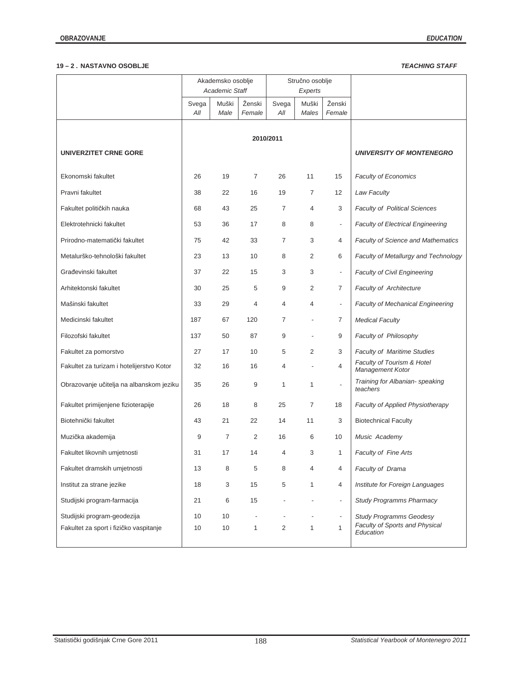## **19 – 2 . NASTAVNO OSOBLJE** *TEACHING STAFF*

|                                           |              | Akademsko osoblje<br><b>Academic Staff</b> |                  |                | Stručno osoblje<br>Experts |                          |                                                |
|-------------------------------------------|--------------|--------------------------------------------|------------------|----------------|----------------------------|--------------------------|------------------------------------------------|
|                                           | Svega<br>All | Muški<br>Male                              | Ženski<br>Female | Svega<br>All   | Muški<br>Males             | Ženski<br>Female         |                                                |
|                                           |              |                                            |                  |                |                            |                          |                                                |
| <b>UNIVERZITET CRNE GORE</b>              |              |                                            |                  | 2010/2011      |                            |                          | <b>UNIVERSITY OF MONTENEGRO</b>                |
| Ekonomski fakultet                        | 26           | 19                                         | 7                | 26             | 11                         | 15                       | <b>Faculty of Economics</b>                    |
| Pravni fakultet                           | 38           | 22                                         | 16               | 19             | 7                          | 12                       | Law Faculty                                    |
| Fakultet političkih nauka                 | 68           | 43                                         | 25               | $\overline{7}$ | $\overline{4}$             | 3                        | <b>Faculty of Political Sciences</b>           |
| Elektrotehnicki fakultet                  | 53           | 36                                         | 17               | 8              | 8                          | $\overline{\phantom{a}}$ | <b>Faculty of Electrical Engineering</b>       |
| Prirodno-matematički fakultet             | 75           | 42                                         | 33               | 7              | 3                          | 4                        | Faculty of Science and Mathematics             |
| Metalurško-tehnološki fakultet            | 23           | 13                                         | 10               | 8              | 2                          | 6                        | Faculty of Metallurgy and Technology           |
| Građevinski fakultet                      | 37           | 22                                         | 15               | 3              | 3                          | $\overline{\phantom{a}}$ | <b>Faculty of Civil Engineering</b>            |
| Arhitektonski fakultet                    | 30           | 25                                         | 5                | 9              | 2                          | $\overline{7}$           | Faculty of Architecture                        |
| Mašinski fakultet                         | 33           | 29                                         | 4                | 4              | $\overline{4}$             | $\overline{\phantom{a}}$ | <b>Faculty of Mechanical Engineering</b>       |
| Medicinski fakultet                       | 187          | 67                                         | 120              | $\overline{7}$ |                            | $\overline{7}$           | <b>Medical Faculty</b>                         |
| Filozofski fakultet                       | 137          | 50                                         | 87               | 9              |                            | 9                        | Faculty of Philosophy                          |
| Fakultet za pomorstvo                     | 27           | 17                                         | 10               | 5              | $\overline{2}$             | 3                        | <b>Faculty of Maritime Studies</b>             |
| Fakultet za turizam i hotelijerstvo Kotor | 32           | 16                                         | 16               | 4              |                            | 4                        | Faculty of Tourism & Hotel<br>Management Kotor |
| Obrazovanje učitelja na albanskom jeziku  | 35           | 26                                         | 9                | $\mathbf{1}$   | $\mathbf{1}$               | $\overline{a}$           | Training for Albanian- speaking<br>teachers    |
| Fakultet primijenjene fizioterapije       | 26           | 18                                         | 8                | 25             | 7                          | 18                       | Faculty of Applied Physiotherapy               |
| Biotehnički fakultet                      | 43           | 21                                         | 22               | 14             | 11                         | 3                        | <b>Biotechnical Faculty</b>                    |
| Muzička akademija                         | 9            | 7                                          | 2                | 16             | 6                          | 10                       | Music Academy                                  |
| Fakultet likovnih umjetnosti              | 31           | 17                                         | 14               | $\overline{4}$ | 3                          | $\mathbf{1}$             | Faculty of Fine Arts                           |
| Fakultet dramskih umjetnosti              | 13           | 8                                          | 5                | 8              | 4                          | 4                        | Faculty of Drama                               |
| Institut za strane jezike                 | 18           | 3                                          | 15               | 5              | $\mathbf{1}$               | 4                        | Institute for Foreign Languages                |
| Studijski program-farmacija               | 21           | 6                                          | 15               |                |                            | $\overline{\phantom{a}}$ | <b>Study Programms Pharmacy</b>                |
| Studijski program-geodezija               | 10           | 10                                         |                  |                |                            | $\overline{\phantom{a}}$ | <b>Study Programms Geodesy</b>                 |
| Fakultet za sport i fizičko vaspitanje    | 10           | 10                                         | 1                | 2              | $\mathbf{1}$               | $\mathbf{1}$             | Faculty of Sports and Physical<br>Education    |
|                                           |              |                                            |                  |                |                            |                          |                                                |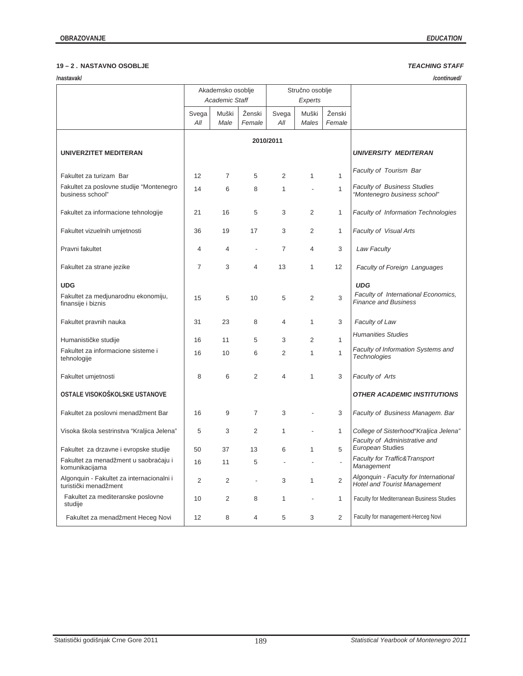## **19 – 2 . NASTAVNO OSOBLJE** *TEACHING STAFF*

| /nastavak/<br>/continued/                                          |       |                       |                          |                 |                |                |                                                                              |  |  |  |  |  |
|--------------------------------------------------------------------|-------|-----------------------|--------------------------|-----------------|----------------|----------------|------------------------------------------------------------------------------|--|--|--|--|--|
|                                                                    |       | Akademsko osoblje     |                          | Stručno osoblje |                |                |                                                                              |  |  |  |  |  |
|                                                                    |       | <b>Academic Staff</b> |                          |                 | Experts        |                |                                                                              |  |  |  |  |  |
|                                                                    | Svega | Muški                 | Ženski                   | Svega           | Muški          | Ženski         |                                                                              |  |  |  |  |  |
|                                                                    | All   | Male                  | Female                   | All             | Males          | Female         |                                                                              |  |  |  |  |  |
|                                                                    |       |                       |                          | 2010/2011       |                |                |                                                                              |  |  |  |  |  |
|                                                                    |       |                       |                          |                 |                |                |                                                                              |  |  |  |  |  |
| <b>UNIVERZITET MEDITERAN</b>                                       |       |                       |                          |                 |                |                | <b>UNIVERSITY MEDITERAN</b>                                                  |  |  |  |  |  |
|                                                                    |       |                       |                          |                 |                |                | Faculty of Tourism Bar                                                       |  |  |  |  |  |
| Fakultet za turizam Bar                                            | 12    | $\overline{7}$        | 5                        | 2               | 1              | 1              |                                                                              |  |  |  |  |  |
| Fakultet za poslovne studije "Montenegro<br>business school"       | 14    | 6                     | 8                        | $\mathbf{1}$    |                | $\mathbf{1}$   | <b>Faculty of Business Studies</b><br>"Montenegro business school"           |  |  |  |  |  |
|                                                                    |       |                       |                          |                 |                |                |                                                                              |  |  |  |  |  |
| Fakultet za informacione tehnologije                               | 21    | 16                    | 5                        | 3               | 2              | $\mathbf{1}$   | <b>Faculty of Information Technologies</b>                                   |  |  |  |  |  |
| Fakultet vizuelnih umjetnosti                                      | 36    | 19                    | 17                       | 3               | 2              | $\mathbf{1}$   | <b>Faculty of Visual Arts</b>                                                |  |  |  |  |  |
|                                                                    |       |                       |                          |                 |                |                |                                                                              |  |  |  |  |  |
| Pravni fakultet                                                    | 4     | 4                     |                          | 7               | 4              | 3              | Law Faculty                                                                  |  |  |  |  |  |
|                                                                    | 7     | 3                     | 4                        | 13              | 1              | 12             | <b>Faculty of Foreign Languages</b>                                          |  |  |  |  |  |
| Fakultet za strane jezike                                          |       |                       |                          |                 |                |                |                                                                              |  |  |  |  |  |
| <b>UDG</b>                                                         |       |                       |                          |                 |                |                | <b>UDG</b>                                                                   |  |  |  |  |  |
| Fakultet za medjunarodnu ekonomiju,                                | 15    | 5                     | 10                       | 5               | 2              | 3              | Faculty of International Economics,<br><b>Finance and Business</b>           |  |  |  |  |  |
| finansije i biznis                                                 |       |                       |                          |                 |                |                |                                                                              |  |  |  |  |  |
| Fakultet pravnih nauka                                             | 31    | 23                    | 8                        | 4               | 1              | 3              | Faculty of Law                                                               |  |  |  |  |  |
|                                                                    |       |                       |                          |                 |                |                | <b>Humanities Studies</b>                                                    |  |  |  |  |  |
| Humanističke studije                                               | 16    | 11                    | 5                        | 3               | 2              | 1              |                                                                              |  |  |  |  |  |
| Fakultet za informacione sisteme i<br>tehnologije                  | 16    | 10                    | 6                        | 2               | 1              | 1              | Faculty of Information Systems and<br>Technologies                           |  |  |  |  |  |
|                                                                    |       |                       |                          |                 |                |                |                                                                              |  |  |  |  |  |
| Fakultet umjetnosti                                                | 8     | 6                     | $\overline{2}$           | 4               | 1              | 3              | Faculty of Arts                                                              |  |  |  |  |  |
| OSTALE VISOKOŠKOLSKE USTANOVE                                      |       |                       |                          |                 |                |                | <b>OTHER ACADEMIC INSTITUTIONS</b>                                           |  |  |  |  |  |
|                                                                    |       |                       |                          |                 |                |                |                                                                              |  |  |  |  |  |
| Fakultet za poslovni menadžment Bar                                | 16    | 9                     | $\overline{7}$           | 3               |                | 3              | Faculty of Business Managem. Bar                                             |  |  |  |  |  |
|                                                                    |       |                       |                          |                 |                |                |                                                                              |  |  |  |  |  |
| Visoka škola sestrinstva "Kraljica Jelena"                         | 5     | 3                     | 2                        | 1               |                | $\mathbf{1}$   | College of Sisterhood"Kraljica Jelena"<br>Faculty of Administrative and      |  |  |  |  |  |
| Fakultet za drzavne i evropske studije                             | 50    | 37                    | 13                       | 6               | 1              | 5              | European Studies                                                             |  |  |  |  |  |
| Fakultet za menadžment u saobraćaju i                              | 16    | 11                    | 5                        |                 |                |                | Faculty for Traffic& Transport                                               |  |  |  |  |  |
| komunikacijama                                                     |       |                       |                          |                 |                |                | Management                                                                   |  |  |  |  |  |
| Algonquin - Fakultet za internacionalni i<br>turistički menadžment | 2     | 2                     | $\overline{\phantom{a}}$ | 3               | 1              | $\overline{2}$ | Algonquin - Faculty for International<br><b>Hotel and Tourist Management</b> |  |  |  |  |  |
| Fakultet za mediteranske poslovne                                  | 10    | 2                     | 8                        | 1               | $\overline{a}$ | $\mathbf{1}$   | Faculty for Mediterranean Business Studies                                   |  |  |  |  |  |
| studije                                                            |       |                       |                          |                 |                |                |                                                                              |  |  |  |  |  |
| Fakultet za menadžment Heceg Novi                                  | 12    | 8                     | 4                        | 5               | 3              | $\overline{2}$ | Faculty for management-Herceg Novi                                           |  |  |  |  |  |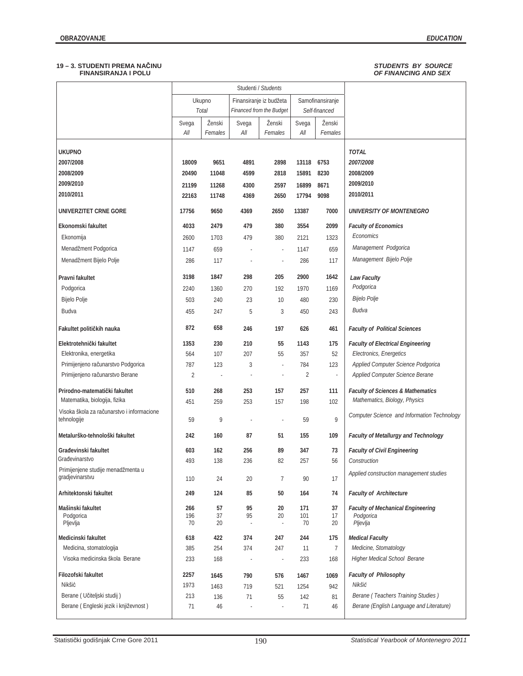## **19 – 3. STUDENTI PREMA NAýINU** *STUDENTS BY SOURCE*   **FINANSIRANJA I POLU** *OF FINANCING AND SEX*

|                                                           |              |                   |              | Studenti / Students                                 |                |                                   |                                              |
|-----------------------------------------------------------|--------------|-------------------|--------------|-----------------------------------------------------|----------------|-----------------------------------|----------------------------------------------|
|                                                           |              | Ukupno<br>Total   |              | Finansiranje iz budžeta<br>Financed from the Budget |                | Samofinansiranje<br>Self-financed |                                              |
|                                                           | Svega<br>All | Ženski<br>Females | Svega<br>All | Ženski<br>Females                                   | Svega<br>All   | Ženski<br>Females                 |                                              |
| <b>UKUPNO</b>                                             |              |                   |              |                                                     |                |                                   | <b>TOTAL</b>                                 |
| 2007/2008                                                 | 18009        | 9651              | 4891         | 2898                                                | 13118          | 6753                              | 2007/2008                                    |
| 2008/2009                                                 | 20490        | 11048             | 4599         | 2818                                                | 15891          | 8230                              | 2008/2009                                    |
| 2009/2010                                                 | 21199        | 11268             | 4300         | 2597                                                | 16899          | 8671                              | 2009/2010                                    |
| 2010/2011                                                 | 22163        | 11748             | 4369         | 2650                                                | 17794          | 9098                              | 2010/2011                                    |
| UNIVERZITET CRNE GORE                                     | 17756        | 9650              | 4369         | 2650                                                | 13387          | 7000                              | UNIVERSITY OF MONTENEGRO                     |
| Ekonomski fakultet                                        | 4033         | 2479              | 479          | 380                                                 | 3554           | 2099                              | <b>Faculty of Economics</b>                  |
| Ekonomija                                                 | 2600         | 1703              | 479          | 380                                                 | 2121           | 1323                              | Economics                                    |
| Menadžment Podgorica                                      | 1147         | 659               | ł,           | $\overline{\phantom{a}}$                            | 1147           | 659                               | Management Podgorica                         |
| Menadžment Bijelo Polje                                   | 286          | 117               | ä,           | ×,                                                  | 286            | 117                               | Management Bijelo Polje                      |
| Pravni fakultet                                           | 3198         | 1847              | 298          | 205                                                 | 2900           | 1642                              | <b>Law Faculty</b>                           |
| Podgorica                                                 | 2240         | 1360              | 270          | 192                                                 | 1970           | 1169                              | Podgorica                                    |
| Bijelo Polje                                              | 503          | 240               | 23           | 10                                                  | 480            | 230                               | Bijelo Polje                                 |
| Budva                                                     | 455          | 247               | 5            | 3                                                   | 450            | 243                               | Budva                                        |
| Fakultet političkih nauka                                 | 872          | 658               | 246          | 197                                                 | 626            | 461                               | <b>Faculty of Political Sciences</b>         |
| Elektrotehnički fakultet                                  | 1353         | 230               | 210          | 55                                                  | 1143           | 175                               | <b>Faculty of Electrical Engineering</b>     |
| Elektronika, energetika                                   | 564          | 107               | 207          | 55                                                  | 357            | 52                                | Electronics, Energetics                      |
| Primijenjeno računarstvo Podgorica                        | 787          | 123               | 3            | ×                                                   | 784            | 123                               | Applied Computer Science Podgorica           |
| Primijenjeno računarstvo Berane                           | 2            | J.                | ×,           |                                                     | $\overline{2}$ | $\overline{\phantom{a}}$          | Applied Computer Science Berane              |
| Prirodno-matematički fakultet                             | 510          | 268               | 253          | 157                                                 | 257            | 111                               | <b>Faculty of Sciences &amp; Mathematics</b> |
| Matematika, biologija, fizika                             | 451          | 259               | 253          | 157                                                 | 198            | 102                               | Mathematics, Biology, Physics                |
| Visoka škola za računarstvo i informacione<br>tehnologije | 59           | 9                 |              |                                                     | 59             | 9                                 | Computer Science and Information Technology  |
| Metalurško-tehnološki fakultet                            | 242          | 160               | 87           | 51                                                  | 155            | 109                               | <b>Faculty of Metallurgy and Technology</b>  |
| Građevinski fakultet                                      | 603          | 162               | 256          | 89                                                  | 347            | 73                                | <b>Faculty of Civil Engineering</b>          |
| Građevinarstvo                                            | 493          | 138               | 236          | 82                                                  | 257            | 56                                | Construction                                 |
| Primijenjene studije menadžmenta u<br>gradjevinarstvu     | 110          | 24                | 20           | 7                                                   | 90             | 17                                | Applied construction management studies      |
| Arhitektonski fakultet                                    | 249          | 124               | 85           | 50                                                  | 164            | 74                                | <b>Faculty of Architecture</b>               |
| Mašinski fakultet                                         | 266          | 57                | 95           | 20                                                  | 171            | 37                                | <b>Faculty of Mechanical Engineering</b>     |
| Podgorica<br>Pljevlja                                     | 196<br>70    | 37<br>20          | 95<br>÷,     | 20<br>×,                                            | 101<br>70      | 17<br>20                          | Podgorica<br>Pljevlja                        |
| Medicinski fakultet                                       | 618          | 422               | 374          | 247                                                 | 244            | 175                               | <b>Medical Faculty</b>                       |
| Medicina, stomatologija                                   | 385          | 254               | 374          | 247                                                 | 11             | 7                                 | Medicine, Stomatology                        |
| Visoka medicinska škola Berane                            | 233          | 168               |              | ×                                                   | 233            | 168                               | Higher Medical School Berane                 |
| Filozofski fakultet                                       | 2257         | 1645              | 790          | 576                                                 | 1467           | 1069                              | <b>Faculty of Philosophy</b>                 |
| Nikšić                                                    | 1973         | 1463              | 719          | 521                                                 | 1254           | 942                               | Nikšić                                       |
| Berane ( Učiteljski studij )                              | 213          | 136               | 71           | 55                                                  | 142            | 81                                | Berane (Teachers Training Studies)           |
| Berane (Engleski jezik i književnost)                     | 71           | 46                | ł,           | ×,                                                  | 71             | 46                                | Berane (English Language and Literature)     |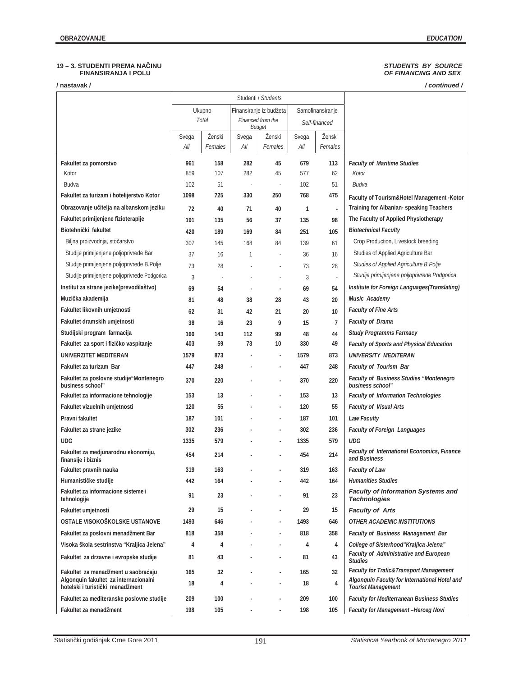## **19 – 3. STUDENTI PREMA NAýINU** *STUDENTS BY SOURCE*   **FINANSIRANJA I POLU** *OF FINANCING AND SEX*

| / nastavak /                                                                 |              |                          |                          |                                    |              |                   | /continued/                                                                               |
|------------------------------------------------------------------------------|--------------|--------------------------|--------------------------|------------------------------------|--------------|-------------------|-------------------------------------------------------------------------------------------|
|                                                                              |              |                          |                          | Studenti / Students                |              |                   |                                                                                           |
|                                                                              |              | Ukupno                   |                          | Finansiranje iz budžeta            |              | Samofinansiranje  |                                                                                           |
|                                                                              |              | Total                    |                          | Financed from the<br><b>Budget</b> |              | Self-financed     |                                                                                           |
|                                                                              | Svega<br>All | Ženski<br>Females        | Svega<br>All             | Ženski<br>Females                  | Svega<br>All | Ženski<br>Females |                                                                                           |
| Fakultet za pomorstvo                                                        | 961          | 158                      | 282                      | 45                                 | 679          | 113               | <b>Faculty of Maritime Studies</b>                                                        |
| Kotor                                                                        | 859          | 107                      | 282                      | 45                                 | 577          | 62                | Kotor                                                                                     |
| Budva                                                                        | 102          | 51                       | $\overline{\phantom{a}}$ | ×,                                 | 102          | 51                | Budva                                                                                     |
| Fakultet za turizam i hotelijerstvo Kotor                                    | 1098         | 725                      | 330                      | 250                                | 768          | 475               | Faculty of Tourism&Hotel Management -Kotor                                                |
| Obrazovanje učitelja na albanskom jeziku                                     | 72           | 40                       | 71                       | 40                                 | $\mathbf{1}$ | ÷,                | Training for Albanian- speaking Teachers                                                  |
| Fakultet primijenjene fizioterapije                                          | 191          | 135                      | 56                       | 37                                 | 135          | 98                | The Faculty of Applied Physiotherapy                                                      |
| Biotehnički fakultet                                                         | 420          | 189                      | 169                      | 84                                 | 251          | 105               | <b>Biotechnical Faculty</b>                                                               |
| Biljna proizvodnja, stočarstvo                                               | 307          | 145                      | 168                      | 84                                 | 139          | 61                | Crop Production, Livestock breeding                                                       |
| Studije primijenjene poljoprivrede Bar                                       | 37           | 16                       | 1                        | ÷,                                 | 36           | 16                | Studies of Applied Agriculture Bar                                                        |
| Studije primijenjene poljoprivrede B.Polje                                   | 73           | 28                       |                          |                                    | 73           | 28                | Studies of Applied Agriculture B. Polje                                                   |
| Studije primijenjene poljoprivrede Podgorica                                 | 3            | $\overline{\phantom{a}}$ |                          |                                    | 3            | ä,                | Studije primijenjene poljoprivrede Podgorica                                              |
| Institut za strane jezike(prevodilaštvo)                                     | 69           | 54                       | ÷,                       | ÷,                                 | 69           | 54                | Institute for Foreign Languages(Translating)                                              |
| Muzička akademija                                                            | 81           | 48                       | 38                       | 28                                 | 43           | 20                | Music Academy                                                                             |
| Fakultet likovnih umjetnosti                                                 | 62           | 31                       | 42                       | 21                                 | 20           | 10                | <b>Faculty of Fine Arts</b>                                                               |
| Fakultet dramskih umjetnosti                                                 | 38           | 16                       | 23                       | 9                                  | 15           | $\overline{7}$    | <b>Faculty of Drama</b>                                                                   |
| Studijski program farmacija                                                  | 160          | 143                      | 112                      | 99                                 | 48           | 44                | <b>Study Programms Farmacy</b>                                                            |
| Fakultet za sport i fizičko vaspitanje                                       | 403          | 59                       | 73                       | 10                                 | 330          | 49                | <b>Faculty of Sports and Physical Education</b>                                           |
| UNIVERZITET MEDITERAN                                                        | 1579         | 873                      |                          |                                    | 1579         | 873               | UNIVERSITY MEDITERAN                                                                      |
| Fakultet za turizam Bar                                                      | 447          | 248                      |                          |                                    | 447          | 248               | <b>Faculty of Tourism Bar</b>                                                             |
| Fakultet za poslovne studije "Montenegro<br>business school"                 | 370          | 220                      |                          |                                    | 370          | 220               | Faculty of Business Studies "Montenegro<br>business school"                               |
| Fakultet za informacione tehnologije                                         | 153          | 13                       |                          |                                    | 153          | 13                | <b>Faculty of Information Technologies</b>                                                |
| Fakultet vizuelnih umjetnosti                                                | 120          | 55                       |                          |                                    | 120          | 55                | <b>Faculty of Visual Arts</b>                                                             |
| Pravni fakultet                                                              | 187          | 101                      |                          | ä,                                 | 187          | 101               | <b>Law Faculty</b>                                                                        |
| Fakultet za strane jezike                                                    | 302          | 236                      |                          |                                    | 302          | 236               | <b>Faculty of Foreign Languages</b>                                                       |
| <b>UDG</b>                                                                   | 1335         | 579                      |                          |                                    | 1335         | 579               | <b>UDG</b>                                                                                |
| Fakultet za medjunarodnu ekonomiju,<br>finansije i biznis                    | 454          | 214                      |                          |                                    | 454          | 214               | <b>Faculty of International Economics, Finance</b><br>and Business                        |
| Fakultet pravnih nauka                                                       | 319          | 163                      |                          |                                    | 319          | 163               | <b>Faculty of Law</b>                                                                     |
| Humanističke studije                                                         | 442          | 164                      |                          |                                    | 442          | 164               | <b>Humanities Studies</b>                                                                 |
| Fakultet za informacione sisteme i<br>tehnologije                            | 91           | 23                       |                          |                                    | 91           | 23                | <b>Faculty of Information Systems and</b><br><b>Technologies</b>                          |
| Fakultet umjetnosti                                                          | 29           | 15                       |                          |                                    | 29           | 15                | <b>Faculty of Arts</b>                                                                    |
| OSTALE VISOKOŠKOLSKE USTANOVE                                                | 1493         | 646                      |                          |                                    | 1493         | 646               | OTHER ACADEMIC INSTITUTIONS                                                               |
| Fakultet za poslovni menadžment Bar                                          | 818          | 358                      |                          |                                    | 818          | 358               | Faculty of Business Management Bar                                                        |
| Visoka škola sestrinstva "Kraljica Jelena"                                   | 4            | 4                        |                          |                                    | 4            | 4                 | College of Sisterhood "Kraljica Jelena"                                                   |
| Fakultet za drzavne i evropske studije                                       | 81           | 43                       |                          |                                    | 81           | 43                | Faculty of Administrative and European<br><b>Studies</b>                                  |
| Fakultet za menadžment u saobraćaju<br>Algonquin fakultet za internacionalni | 165          | 32                       |                          |                                    | 165          | 32                | Faculty for Trafic& Transport Management<br>Algonquin Faculty for International Hotel and |
| hotelski i turistički menadžment                                             | 18           | 4                        |                          |                                    | 18           | 4                 | <b>Tourist Management</b>                                                                 |
| Fakultet za mediteranske poslovne studije                                    | 209          | 100                      |                          |                                    | 209          | 100               | <b>Faculty for Mediterranean Business Studies</b>                                         |
| Fakultet za menadžment                                                       | 198          | 105                      |                          |                                    | 198          | 105               | Faculty for Management -Herceg Novi                                                       |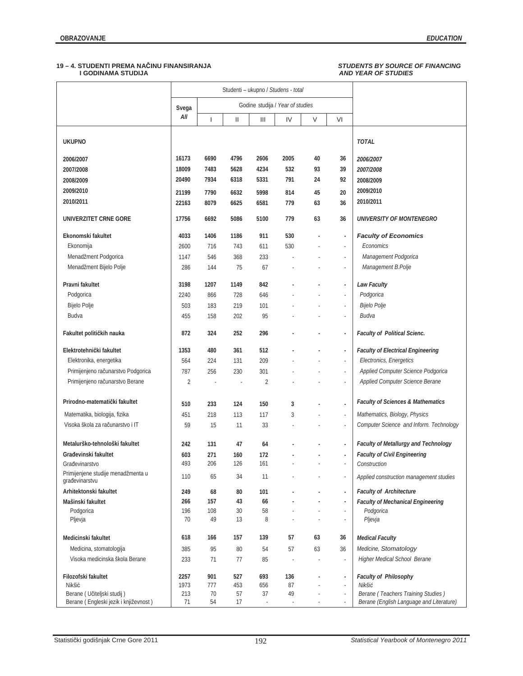## **19 – 4. STUDENTI PREMA NAýINU FINANSIRANJA** *STUDENTS BY SOURCE OF FINANCING*

## *AND YEAR OF STUDIES*

|                                                      |             |                          | Studenti - ukupno / Studens - total |                                    |                                  |        |                                |                                              |
|------------------------------------------------------|-------------|--------------------------|-------------------------------------|------------------------------------|----------------------------------|--------|--------------------------------|----------------------------------------------|
|                                                      | Svega       |                          |                                     |                                    | Godine studija / Year of studies |        |                                |                                              |
|                                                      | All         | $\overline{\phantom{a}}$ | $\mathsf{II}$                       | $\ensuremath{\mathsf{III}}\xspace$ | IV                               | $\vee$ | VI                             |                                              |
| <b>UKUPNO</b>                                        |             |                          |                                     |                                    |                                  |        |                                | <b>TOTAL</b>                                 |
| 2006/2007                                            | 16173       | 6690                     | 4796                                | 2606                               | 2005                             | 40     | 36                             | 2006/2007                                    |
| 2007/2008                                            | 18009       | 7483                     | 5628                                | 4234                               | 532                              | 93     | 39                             | 2007/2008                                    |
| 2008/2009                                            | 20490       | 7934                     | 6318                                | 5331                               | 791                              | 24     | 92                             | 2008/2009                                    |
| 2009/2010                                            | 21199       | 7790                     | 6632                                | 5998                               | 814                              | 45     | 20                             | 2009/2010                                    |
| 2010/2011                                            | 22163       | 8079                     | 6625                                | 6581                               | 779                              | 63     | 36                             | 2010/2011                                    |
| UNIVERZITET CRNE GORE                                | 17756       | 6692                     | 5086                                | 5100                               | 779                              | 63     | 36                             | <b>UNIVERSITY OF MONTENEGRO</b>              |
| Ekonomski fakultet                                   | 4033        | 1406                     | 1186                                | 911                                | 530                              |        | $\sim$                         | <b>Faculty of Economics</b>                  |
| Ekonomija                                            | 2600        | 716                      | 743                                 | 611                                | 530                              |        | ×,                             | Economics                                    |
| Menadžment Podgorica                                 | 1147        | 546                      | 368                                 | 233                                |                                  |        | ×                              | Management Podgorica                         |
| Menadžment Bijelo Polje                              | 286         | 144                      | 75                                  | 67                                 |                                  |        | Ĭ.                             | Management B.Polje                           |
| Pravni fakultet                                      | 3198        | 1207                     | 1149                                | 842                                |                                  |        | ÷,                             | <b>Law Faculty</b>                           |
| Podgorica                                            | 2240        | 866                      | 728                                 | 646                                |                                  |        | $\overline{\phantom{a}}$       | Podgorica                                    |
| Bijelo Polje                                         | 503         | 183                      | 219                                 | 101                                |                                  |        | $\overline{\phantom{a}}$       | Bijelo Polje                                 |
| Budva                                                | 455         | 158                      | 202                                 | 95                                 |                                  |        | ä,                             | Budva                                        |
| Fakultet političkih nauka                            | 872         | 324                      | 252                                 | 296                                |                                  |        | ÷,                             | <b>Faculty of Political Scienc.</b>          |
| Elektrotehnički fakultet                             | 1353        | 480                      | 361                                 | 512                                |                                  |        | ÷,                             | <b>Faculty of Electrical Engineering</b>     |
| Elektronika, energetika                              | 564         | 224                      | 131                                 | 209                                |                                  |        | J,                             | Electronics, Energetics                      |
| Primijenjeno računarstvo Podgorica                   | 787         | 256                      | 230                                 | 301                                |                                  |        | J,                             | Applied Computer Science Podgorica           |
| Primijenjeno računarstvo Berane                      | 2           |                          | ä,                                  | $\overline{c}$                     |                                  |        | ä,                             | Applied Computer Science Berane              |
| Prirodno-matematički fakultet                        | 510         | 233                      | 124                                 | 150                                | 3                                |        | J.                             | <b>Faculty of Sciences &amp; Mathematics</b> |
| Matematika, biologija, fizika                        | 451         | 218                      | 113                                 | 117                                | 3                                |        | J,                             | Mathematics, Biology, Physics                |
| Visoka škola za računarstvo i IT                     | 59          | 15                       | 11                                  | 33                                 |                                  |        | ×                              | Computer Science and Inform. Technology      |
| Metalurško-tehnološki fakultet                       | 242         | 131                      | 47                                  | 64                                 |                                  |        | ÷,                             | Faculty of Metallurgy and Technology         |
| Građevinski fakultet                                 | 603         | 271                      | 160                                 | 172                                |                                  |        | ÷,                             | <b>Faculty of Civil Engineering</b>          |
| Građevinarstvo                                       | 493         | 206                      | 126                                 | 161                                |                                  |        | ÷,                             | Construction                                 |
| Primijenjene studije menadžmenta u<br>građevinarstvu | 110         | 65                       | 34                                  | 11                                 |                                  |        | J,                             | Applied construction management studies      |
| Arhitektonski fakultet                               | 249         | 68                       | 80                                  | 101                                |                                  |        | ÷,                             | <b>Faculty of Architecture</b>               |
| Mašinski fakultet                                    | 266         | 157                      | 43                                  | 66                                 |                                  |        | $\overline{\phantom{a}}$       | <b>Faculty of Mechanical Engineering</b>     |
| Podgorica<br>Pljevja                                 | 196<br>70   | 108<br>49                | 30<br>13                            | 58<br>8                            |                                  |        | $\overline{\phantom{a}}$<br>×, | Podgorica<br>Pljevja                         |
| Medicinski fakultet                                  | 618         | 166                      | 157                                 | 139                                | 57                               | 63     | 36                             | <b>Medical Faculty</b>                       |
| Medicina, stomatologija                              | 385         | 95                       | 80                                  | 54                                 | 57                               | 63     | 36                             | Medicine, Stomatology                        |
| Visoka medicinska škola Berane                       | 233         | 71                       | 77                                  | 85                                 | ä,                               | ÷,     | ×,                             | Higher Medical School Berane                 |
| Filozofski fakultet                                  | 2257        | 901                      | 527                                 | 693                                | 136                              | ÷.     | $\overline{\phantom{a}}$       | Faculty of Philosophy                        |
| Nikšić<br>Berane ( Učiteljski studij )               | 1973<br>213 | 777<br>70                | 453<br>57                           | 656<br>37                          | 87<br>49                         |        | ×,<br>×,                       | Nikšić<br>Berane (Teachers Training Studies) |
| Berane (Engleski jezik i književnost)                | 71          | 54                       | 17                                  |                                    |                                  |        | $\overline{\phantom{a}}$       | Berane (English Language and Literature)     |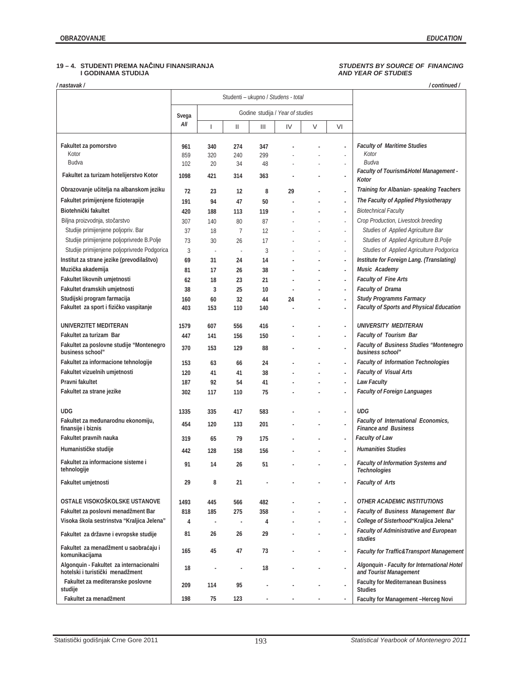## **19 – 4. STUDENTI PREMA NAýINU FINANSIRANJA** *STUDENTS BY SOURCE OF FINANCING*  **I GODINAMA STUDIJA** *AND YEAR OF STUDIES*

| 'nastavak /                                                                 |              |                          |                                     |     |                                  |   |                          | / continued /                                                             |
|-----------------------------------------------------------------------------|--------------|--------------------------|-------------------------------------|-----|----------------------------------|---|--------------------------|---------------------------------------------------------------------------|
|                                                                             |              |                          | Studenti - ukupno / Studens - total |     |                                  |   |                          |                                                                           |
|                                                                             |              |                          |                                     |     | Godine studija / Year of studies |   |                          |                                                                           |
|                                                                             | Svega<br>All | $\overline{\phantom{a}}$ | Ш                                   | Ш   | IV                               | V | VI                       |                                                                           |
| Fakultet za pomorstvo                                                       | 961          | 340                      | 274                                 | 347 |                                  |   | ä,                       | <b>Faculty of Maritime Studies</b>                                        |
| Kotor                                                                       | 859          | 320                      | 240                                 | 299 |                                  |   | ×,                       | Kotor                                                                     |
| Budva                                                                       | 102          | 20                       | 34                                  | 48  |                                  |   | ٠                        | Budva                                                                     |
| Fakultet za turizam hotelijerstvo Kotor                                     | 1098         | 421                      | 314                                 | 363 |                                  |   | ٠                        | Faculty of Tourism&Hotel Management -<br>Kotor                            |
| Obrazovanje učitelja na albanskom jeziku                                    | 72           | 23                       | 12                                  | 8   | 29                               |   | ÷,                       | Training for Albanian- speaking Teachers                                  |
| Fakultet primijenjene fizioterapije                                         | 191          | 94                       | 47                                  | 50  |                                  |   | ×,                       | The Faculty of Applied Physiotherapy                                      |
| Biotehnički fakultet                                                        | 420          | 188                      | 113                                 | 119 |                                  |   | ä,                       | <b>Biotechnical Faculty</b>                                               |
| Biljna proizvodnja, stočarstvo                                              | 307          | 140                      | 80                                  | 87  |                                  |   | ×,                       | Crop Production, Livestock breeding                                       |
| Studije primijenjene poljopriv. Bar                                         | 37           | 18                       | 7                                   | 12  |                                  |   | ×,                       | Studies of Applied Agriculture Bar                                        |
| Studije primijenjene poljoprivrede B.Polje                                  | 73           | 30                       | 26                                  | 17  |                                  |   | ٠                        | Studies of Applied Agriculture B.Polje                                    |
| Studije primijenjene poljoprivrede Podgorica                                | 3            | ×                        | J.                                  | 3   |                                  |   | $\overline{\phantom{a}}$ | Studies of Applied Agriculture Podgorica                                  |
| Institut za strane jezike (prevodilaštvo)                                   | 69           | 31                       | 24                                  | 14  |                                  |   | ä,                       | Institute for Foreign Lang. (Translating)                                 |
| Muzička akademija                                                           | 81           | 17                       | 26                                  | 38  |                                  |   | ä,                       | Music Academy                                                             |
| Fakultet likovnih umjetnosti                                                | 62           | 18                       | 23                                  | 21  |                                  |   | ä,                       | <b>Faculty of Fine Arts</b>                                               |
| Fakultet dramskih umjetnosti                                                | 38           | 3                        | 25                                  | 10  |                                  |   | ÷,                       | <b>Faculty of Drama</b>                                                   |
| Studijski program farmacija                                                 | 160          | 60                       | 32                                  | 44  | 24                               |   | ä,                       | <b>Study Programms Farmacy</b>                                            |
| Fakultet za sport i fizičko vaspitanje                                      | 403          | 153                      | 110                                 | 140 |                                  |   |                          | <b>Faculty of Sports and Physical Education</b>                           |
|                                                                             |              |                          |                                     |     |                                  |   |                          |                                                                           |
| UNIVERZITET MEDITERAN                                                       | 1579         | 607                      | 556                                 | 416 |                                  |   | ٠                        | UNIVERSITY MEDITERAN                                                      |
| Fakultet za turizam Bar                                                     | 447          | 141                      | 156                                 | 150 |                                  |   | ä,                       | <b>Faculty of Tourism Bar</b>                                             |
| Fakultet za poslovne studije "Montenegro<br>business school"                | 370          | 153                      | 129                                 | 88  |                                  |   | ä,                       | Faculty of Business Studies "Montenegro<br>business school"               |
| Fakultet za informacione tehnologije                                        | 153          | 63                       | 66                                  | 24  |                                  |   | ä,                       | <b>Faculty of Information Technologies</b>                                |
| Fakultet vizuelnih umjetnosti                                               | 120          | 41                       | 41                                  | 38  |                                  |   | ä,                       | <b>Faculty of Visual Arts</b>                                             |
| Pravni fakultet                                                             | 187          | 92                       | 54                                  | 41  |                                  |   | ä,                       | <b>Law Faculty</b>                                                        |
| Fakultet za strane jezike                                                   | 302          | 117                      | 110                                 | 75  |                                  |   | ٠                        | <b>Faculty of Foreign Languages</b>                                       |
|                                                                             |              |                          |                                     |     |                                  |   |                          |                                                                           |
| UDG                                                                         | 1335         | 335                      | 417                                 | 583 |                                  |   | ä,                       | <b>UDG</b>                                                                |
| Fakultet za međunarodnu ekonomiju,<br>finansije i biznis                    | 454          | 120                      | 133                                 | 201 |                                  |   | ÷,                       | <b>Faculty of International Economics,</b><br><b>Finance and Business</b> |
| Fakultet pravnih nauka                                                      | 319          | 65                       | 79                                  | 175 |                                  |   | ä,                       | <b>Faculty of Law</b>                                                     |
| Humanističke studije                                                        | 442          | 128                      | 158                                 | 156 |                                  |   |                          | <b>Humanities Studies</b>                                                 |
| Fakultet za informacione sisteme i<br>tehnologije                           | 91           | 14                       | 26                                  | 51  |                                  |   |                          | Faculty of Information Systems and<br><b>Technologies</b>                 |
| Fakultet umjetnosti                                                         | 29           | 8                        | 21                                  |     |                                  |   | ÷,                       | <b>Faculty of Arts</b>                                                    |
| OSTALE VISOKOŠKOLSKE USTANOVE                                               | 1493         | 445                      | 566                                 | 482 |                                  |   | ä,                       | <b>OTHER ACADEMIC INSTITUTIONS</b>                                        |
| Fakultet za poslovni menadžment Bar                                         | 818          | 185                      | 275                                 | 358 |                                  |   | $\overline{\phantom{a}}$ | Faculty of Business Management Bar                                        |
| Visoka škola sestrinstva "Kraljica Jelena"                                  | 4            | ÷,                       | $\epsilon$                          | 4   |                                  |   | ÷.                       | College of Sisterhood" Kraljica Jelena"                                   |
| Fakultet za državne i evropske studije                                      | 81           | 26                       | 26                                  | 29  |                                  |   | ä,                       | Faculty of Administrative and European<br>studies                         |
| Fakultet za menadžment u saobraćaju i<br>komunikacijama                     | 165          | 45                       | 47                                  | 73  |                                  |   | $\overline{\phantom{a}}$ | Faculty for Traffic&Transport Management                                  |
| Algonquin - Fakultet za internacionalni<br>hotelski i turistički menadžment | 18           |                          | ÷,                                  | 18  |                                  |   | ÷.                       | Algonquin - Faculty for International Hotel<br>and Tourist Management     |
| Fakultet za mediteranske poslovne<br>studije                                | 209          | 114                      | 95                                  |     |                                  |   |                          | <b>Faculty for Mediterranean Business</b><br><b>Studies</b>               |
| Fakultet za menadžment                                                      | 198          | 75                       | 123                                 |     |                                  |   |                          | Faculty for Management -Herceg Novi                                       |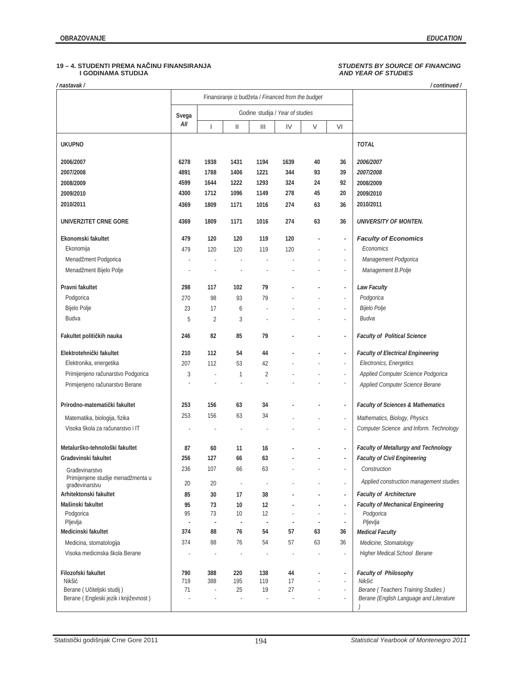## **19 – 4. STUDENTI PREMA NAýINU FINANSIRANJA** *STUDENTS BY SOURCE OF FINANCING* **I GODINAMA STUDIJA** *AND YEAR OF STUDIES*

*/ nastavak / / continued /* 

|                                                      |            |                          | Finansiranje iz budžeta / Financed from the budget |                |                                  |        |                                                      |                                              |
|------------------------------------------------------|------------|--------------------------|----------------------------------------------------|----------------|----------------------------------|--------|------------------------------------------------------|----------------------------------------------|
|                                                      | Svega      |                          |                                                    |                | Godine studija / Year of studies |        |                                                      |                                              |
|                                                      | All        | $\overline{\phantom{a}}$ | Ш                                                  | Ш              | IV                               | $\vee$ | VI                                                   |                                              |
| <b>UKUPNO</b>                                        |            |                          |                                                    |                |                                  |        |                                                      | <b>TOTAL</b>                                 |
| 2006/2007                                            | 6278       | 1938                     | 1431                                               | 1194           | 1639                             | 40     | 36                                                   | 2006/2007                                    |
| 2007/2008                                            | 4891       | 1788                     | 1406                                               | 1221           | 344                              | 93     | 39                                                   | 2007/2008                                    |
| 2008/2009                                            | 4599       | 1644                     | 1222                                               | 1293           | 324                              | 24     | 92                                                   | 2008/2009                                    |
| 2009/2010                                            | 4300       | 1712                     | 1096                                               | 1149           | 278                              | 45     | 20                                                   | 2009/2010                                    |
| 2010/2011                                            | 4369       | 1809                     | 1171                                               | 1016           | 274                              | 63     | 36                                                   | 2010/2011                                    |
| UNIVERZITET CRNE GORE                                | 4369       | 1809                     | 1171                                               | 1016           | 274                              | 63     | 36                                                   | UNIVERSITY OF MONTEN.                        |
| Ekonomski fakultet                                   | 479        | 120                      | 120                                                | 119            | 120                              |        | $\blacksquare$                                       | <b>Faculty of Economics</b>                  |
| Ekonomija                                            | 479        | 120                      | 120                                                | 119            | 120                              |        | ä,                                                   | Economics                                    |
| Menadžment Podgorica                                 |            |                          |                                                    |                |                                  |        | ×,                                                   | Management Podgorica                         |
| Menadžment Bijelo Polje                              |            |                          |                                                    |                |                                  |        | ٠                                                    | Management B.Polje                           |
| Pravni fakultet                                      | 298        | 117                      | 102                                                | 79             |                                  |        | ÷,                                                   | <b>Law Faculty</b>                           |
| Podgorica                                            | 270        | 98                       | 93                                                 | 79             |                                  |        | ä,                                                   | Podgorica                                    |
| Bijelo Polje                                         | 23         | 17                       | 6                                                  |                |                                  |        | $\overline{\phantom{a}}$                             | Bijelo Polje                                 |
| Budva                                                | 5          | 2                        | 3                                                  |                |                                  |        |                                                      | Budva                                        |
| Fakultet političkih nauka                            | 246        | 82                       | 85                                                 | 79             |                                  |        | $\overline{\phantom{a}}$                             | <b>Faculty of Political Science</b>          |
| Elektrotehnički fakultet                             | 210        | 112                      | 54                                                 | 44             |                                  |        | ÷,                                                   | <b>Faculty of Electrical Engineering</b>     |
| Elektronika, energetika                              | 207        | 112                      | 53                                                 | 42             |                                  |        | ä,                                                   | Electronics, Energetics                      |
| Primijenjeno računarstvo Podgorica                   | 3          |                          | 1                                                  | $\overline{2}$ |                                  |        | $\sim$                                               | Applied Computer Science Podgorica           |
| Primijenjeno računarstvo Berane                      |            |                          | ł,                                                 |                |                                  |        | $\overline{\phantom{a}}$                             | Applied Computer Science Berane              |
| Prirodno-matematički fakultet                        | 253        | 156                      | 63                                                 | 34             |                                  |        | ×,                                                   | <b>Faculty of Sciences &amp; Mathematics</b> |
| Matematika, biologija, fizika                        | 253        | 156                      | 63                                                 | 34             |                                  |        | ä,                                                   | Mathematics, Biology, Physics                |
| Visoka škola za računarstvo i IT                     |            |                          | J,                                                 |                |                                  |        | ÷,                                                   | Computer Science and Inform. Technology      |
|                                                      |            |                          |                                                    |                |                                  |        |                                                      |                                              |
| Metalurško-tehnološki fakultet                       | 87         | 60                       | 11                                                 | 16             |                                  |        | ÷,                                                   | Faculty of Metallurgy and Technology         |
| Građevinski fakultet                                 | 256        | 127                      | 66                                                 | 63             |                                  |        |                                                      | <b>Faculty of Civil Engineering</b>          |
| Građevinarstvo                                       | 236        | 107                      | 66                                                 | 63             |                                  |        |                                                      | Construction                                 |
| Primijenjene studije menadžmenta u<br>građevinarstvu | 20         | 20                       |                                                    |                |                                  |        | $\overline{\phantom{a}}$                             | Applied construction management studies      |
| Arhitektonski fakultet                               | 85         | 30                       | 17                                                 | 38             |                                  |        | ÷,                                                   | <b>Faculty of Architecture</b>               |
| Mašinski fakultet                                    | 95         | 73                       | 10                                                 | 12             |                                  |        | $\blacksquare$                                       | <b>Faculty of Mechanical Engineering</b>     |
| Podgorica<br>Pljevlja                                | 95<br>ł,   | 73<br>÷,                 | 10<br>÷,                                           | 12<br>÷,       | ÷,                               |        | ٠<br>$\overline{\phantom{a}}$                        | Podgorica<br>Pljevlja                        |
| Medicinski fakultet                                  | 374        | 88                       | 76                                                 | 54             | 57                               | 63     | 36                                                   | <b>Medical Faculty</b>                       |
| Medicina, stomatologija                              | 374        | 88                       | 76                                                 | 54             | 57                               | 63     | 36                                                   | Medicine, Stomatology                        |
| Visoka medicinska škola Berane                       |            | i,                       | ÷,                                                 | ×              | ×                                |        | $\overline{\phantom{a}}$                             | Higher Medical School Berane                 |
|                                                      |            |                          |                                                    |                |                                  |        |                                                      |                                              |
| Filozofski fakultet<br>Nikšić                        | 790<br>719 | 388<br>388               | 220<br>195                                         | 138<br>119     | 44<br>17                         |        | $\overline{\phantom{a}}$<br>$\overline{\phantom{a}}$ | Faculty of Philosophy<br>Nikšić              |
| Berane (Učiteljski studij)                           | 71         | ł,                       | 25                                                 | 19             | 27                               |        | $\overline{\phantom{a}}$                             | Berane (Teachers Training Studies)           |
| Berane (Engleski jezik i književnost)                |            |                          |                                                    |                | ä,                               |        |                                                      | Berane (English Language and Literature      |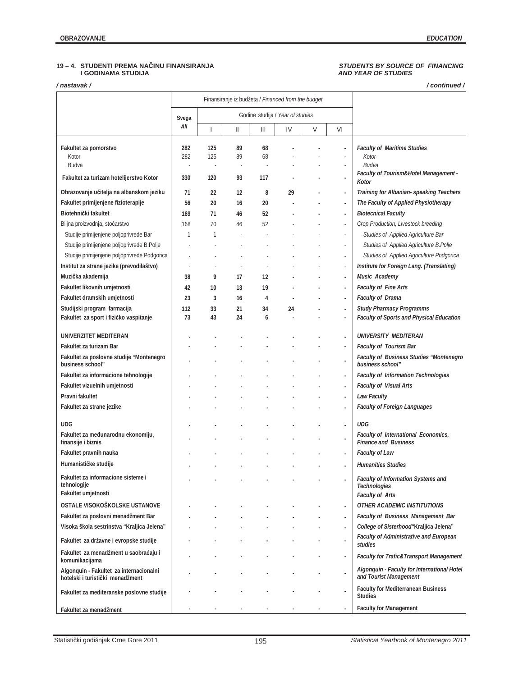## **19 – 4. STUDENTI PREMA NAýINU FINANSIRANJA** *STUDENTS BY SOURCE OF FINANCING*  **I GODINAMA STUDIJA** *AND YEAR OF STUDIES*

*/ nastavak / / continued /* 

|                                                                                 |                                        |            | Finansiranje iz budžeta / Financed from the budget |          |                                  |   |                          |                                                                                            |
|---------------------------------------------------------------------------------|----------------------------------------|------------|----------------------------------------------------|----------|----------------------------------|---|--------------------------|--------------------------------------------------------------------------------------------|
|                                                                                 | Svega                                  |            |                                                    |          | Godine studija / Year of studies |   |                          |                                                                                            |
|                                                                                 | All                                    |            | $\mathbf{II}$                                      | Ш        | IV                               | V | VI                       |                                                                                            |
| Fakultet za pomorstvo<br>Kotor<br>Budva                                         | 282<br>282<br>$\overline{\phantom{a}}$ | 125<br>125 | 89<br>89<br>$\overline{\phantom{a}}$               | 68<br>68 |                                  |   | ä,<br>×,<br>٠            | <b>Faculty of Maritime Studies</b><br>Kotor<br>Budva                                       |
| Fakultet za turizam hotelijerstvo Kotor                                         | 330                                    | 120        | 93                                                 | 117      |                                  |   | ä,                       | Faculty of Tourism&Hotel Management -<br>Kotor                                             |
| Obrazovanje učitelja na albanskom jeziku<br>Fakultet primijenjene fizioterapije | 71<br>56                               | 22<br>20   | 12<br>16                                           | 8<br>20  | 29                               |   | ä,<br>÷,                 | Training for Albanian-speaking Teachers<br>The Faculty of Applied Physiotherapy            |
| Biotehnički fakultet                                                            | 169                                    | 71         | 46                                                 | 52       |                                  |   | ÷,                       | <b>Biotecnical Faculty</b>                                                                 |
| Biljna proizvodnja, stočarstvo<br>Studije primijenjene poljoprivrede Bar        | 168<br>1                               | 70<br>1    | 46                                                 | 52       |                                  |   | ×,<br>٠                  | Crop Production, Livestock breeding<br>Studies of Applied Agriculture Bar                  |
| Studije primijenjene poljoprivrede B.Polje                                      |                                        |            |                                                    |          |                                  |   | ×,                       | Studies of Applied Agriculture B.Polje                                                     |
| Studije primijenjene poljoprivrede Podgorica                                    |                                        |            |                                                    |          |                                  |   | i,                       | Studies of Applied Agriculture Podgorica                                                   |
| Institut za strane jezike (prevodilaštvo)                                       | ł.                                     |            |                                                    |          |                                  |   | ×,                       | Institute for Foreign Lang. (Translating)                                                  |
| Muzička akademija<br>Fakultet likovnih umjetnosti                               | 38<br>42                               | 9<br>10    | 17<br>13                                           | 12<br>19 |                                  |   | ÷,<br>÷.                 | Music Academy<br><b>Faculty of Fine Arts</b>                                               |
| Fakultet dramskih umjetnosti                                                    | 23                                     | 3          | 16                                                 | 4        |                                  |   | ÷,                       | <b>Faculty of Drama</b>                                                                    |
| Studijski program farmacija                                                     | 112                                    | 33         | 21                                                 | 34       | 24                               |   | ÷,                       | <b>Study Pharmacy Programms</b>                                                            |
| Fakultet za sport i fizičko vaspitanje                                          | 73                                     | 43         | 24                                                 | 6        |                                  |   |                          | <b>Faculty of Sports and Physical Education</b>                                            |
| UNIVERZITET MEDITERAN                                                           |                                        |            |                                                    |          |                                  |   | ä,                       | UNIVERSITY MEDITERAN                                                                       |
| Fakultet za turizam Bar                                                         |                                        |            |                                                    |          |                                  |   | $\overline{\phantom{a}}$ | <b>Faculty of Tourism Bar</b>                                                              |
| Fakultet za poslovne studije "Montenegro<br>business school"                    |                                        |            |                                                    |          |                                  |   | ÷,                       | Faculty of Business Studies "Montenegro<br>business school"                                |
| Fakultet za informacione tehnologije                                            |                                        |            |                                                    |          |                                  |   | ÷,                       | <b>Faculty of Information Technologies</b>                                                 |
| Fakultet vizuelnih umjetnosti                                                   |                                        |            |                                                    |          |                                  |   | ÷,                       | <b>Faculty of Visual Arts</b>                                                              |
| Pravni fakultet<br>Fakultet za strane jezike                                    |                                        |            |                                                    |          |                                  |   | ä,<br>ä,                 | <b>Law Faculty</b><br><b>Faculty of Foreign Languages</b>                                  |
|                                                                                 |                                        |            |                                                    |          |                                  |   |                          |                                                                                            |
| <b>UDG</b>                                                                      |                                        |            |                                                    |          |                                  |   | ÷,                       | <b>UDG</b>                                                                                 |
| Fakultet za međunarodnu ekonomiju,<br>finansije i biznis                        |                                        |            |                                                    |          |                                  |   | ä,                       | Faculty of International Economics,<br><b>Finance and Business</b>                         |
| Fakultet pravnih nauka                                                          |                                        |            |                                                    |          |                                  |   | ÷,                       | <b>Faculty of Law</b>                                                                      |
| Humanističke studije                                                            |                                        |            |                                                    |          |                                  |   | ÷,                       | <b>Humanities Studies</b>                                                                  |
| Fakultet za informacione sisteme i<br>tehnologije<br>Fakultet umjetnosti        |                                        |            |                                                    |          |                                  |   |                          | <b>Faculty of Information Systems and</b><br><b>Technologies</b><br><b>Faculty of Arts</b> |
| OSTALE VISOKOŠKOLSKE USTANOVE                                                   |                                        |            |                                                    |          |                                  |   | ä,                       | <b>OTHER ACADEMIC INSTITUTIONS</b>                                                         |
| Fakultet za poslovni menadžment Bar                                             |                                        |            |                                                    |          |                                  |   | ÷,                       | <b>Faculty of Business Management Bar</b>                                                  |
| Visoka škola sestrinstva "Kraljica Jelena"                                      |                                        |            |                                                    |          |                                  |   |                          | College of Sisterhood" Kraljica Jelena"                                                    |
| Fakultet za državne i evropske studije                                          |                                        |            |                                                    |          |                                  |   | ×,                       | <b>Faculty of Administrative and European</b><br>studies                                   |
| Fakultet za menadžment u saobraćaju i<br>komunikacijama                         |                                        |            |                                                    |          |                                  |   | ÷,                       | <b>Faculty for Trafic&amp;Transport Management</b>                                         |
| Algonquin - Fakultet za internacionalni<br>hotelski i turistički menadžment     |                                        |            |                                                    |          |                                  |   | ÷,                       | Algonquin - Faculty for International Hotel<br>and Tourist Management                      |
| Fakultet za mediteranske poslovne studije                                       |                                        |            |                                                    |          |                                  |   | ä,                       | <b>Faculty for Mediterranean Business</b><br><b>Studies</b>                                |
| Fakultet za menadžment                                                          |                                        |            |                                                    |          |                                  |   |                          | <b>Faculty for Management</b>                                                              |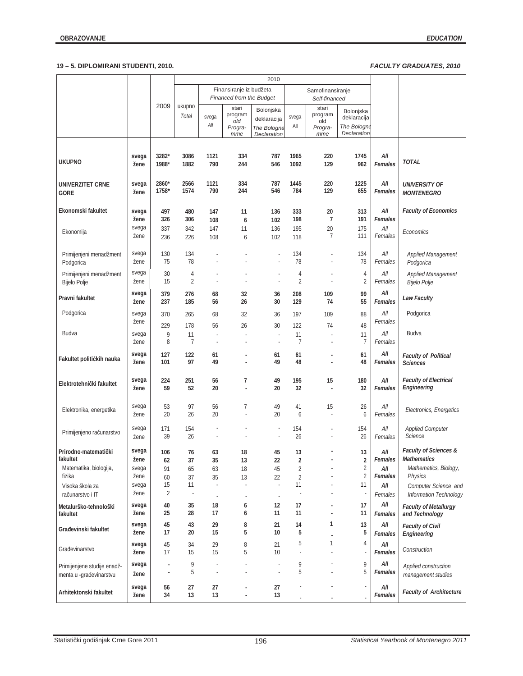|                                                        |                        |                                |                      | Finansiranje iz budžeta<br>Samofinansiranje<br>Financed from the Budget<br>Self-financed |                                           |                                                        |                                    |                                           |                                                               |                           |                                                                                 |
|--------------------------------------------------------|------------------------|--------------------------------|----------------------|------------------------------------------------------------------------------------------|-------------------------------------------|--------------------------------------------------------|------------------------------------|-------------------------------------------|---------------------------------------------------------------|---------------------------|---------------------------------------------------------------------------------|
|                                                        |                        | 2009                           | ukupno<br>Total      | svega<br>All                                                                             | stari<br>program<br>old<br>Progra-<br>mme | Bolonjska<br>deklaracija<br>The Bologna<br>Declaration | svega<br>All                       | stari<br>program<br>old<br>Progra-<br>mme | Bolonjska<br>deklaracija<br>The Bologna<br><b>Declaration</b> |                           |                                                                                 |
| <b>UKUPNO</b>                                          | svega<br>žene          | 3282*<br>1988*                 | 3086<br>1882         | 1121<br>790                                                                              | 334<br>244                                | 787<br>546                                             | 1965<br>1092                       | 220<br>129                                | 1745<br>962                                                   | All<br>Females            | <b>TOTAL</b>                                                                    |
| UNIVERZITET CRNE<br><b>GORE</b>                        | svega<br>žene          | 2860*<br>1758*                 | 2566<br>1574         | 1121<br>790                                                                              | 334<br>244                                | 787<br>546                                             | 1445<br>784                        | 220<br>129                                | 1225<br>655                                                   | All<br>Females            | <b>UNIVERSITY OF</b><br><b>MONTENEGRO</b>                                       |
| Ekonomski fakultet                                     | svega<br>žene          | 497<br>326                     | 480<br>306           | 147<br>108                                                                               | 11<br>6                                   | 136<br>102                                             | 333<br>198                         | 20<br>7                                   | 313<br>191                                                    | All<br>Females            | <b>Faculty of Economics</b>                                                     |
| Ekonomija                                              | svega<br>žene          | 337<br>236                     | 342<br>226           | 147<br>108                                                                               | 11<br>6                                   | 136<br>102                                             | 195<br>118                         | 20<br>7                                   | 175<br>111                                                    | $All$<br>Females          | Economics                                                                       |
| Primijenjeni menadžment<br>Podgorica                   | svega<br>žene          | 130<br>75                      | 134<br>78            |                                                                                          |                                           |                                                        | 134<br>78                          |                                           | 134<br>78                                                     | All<br>Females            | <b>Applied Management</b><br>Podgorica                                          |
| Primijenjeni menadžment<br>Bijelo Polje                | svega<br>žene          | 30<br>15                       | 4<br>2               |                                                                                          |                                           |                                                        | 4<br>$\overline{2}$                |                                           | 4<br>$\overline{2}$                                           | All<br>Females            | Applied Management<br>Bijelo Polje                                              |
| Pravni fakultet                                        | svega<br>žene          | 379<br>237                     | 276<br>185           | 68<br>56                                                                                 | 32<br>26                                  | 36<br>30                                               | 208<br>129                         | 109<br>74                                 | 99<br>55                                                      | All<br>Females            | <b>Law Faculty</b>                                                              |
| Podgorica                                              | svega<br>žene          | 370<br>229                     | 265<br>178           | 68<br>56                                                                                 | 32<br>26                                  | 36<br>30                                               | 197<br>122                         | 109<br>74                                 | 88<br>48                                                      | All<br>Females            | Podgorica                                                                       |
| Budva                                                  | svega<br>žene          | 9<br>8                         | 11<br>$\overline{7}$ | J,                                                                                       |                                           | J,<br>$\overline{\phantom{a}}$                         | 11<br>$\overline{7}$               |                                           | 11<br>$\overline{7}$                                          | All<br>Females            | Budva                                                                           |
| Fakultet političkih nauka                              | svega<br>žene          | 127<br>101                     | 122<br>97            | 61<br>49                                                                                 |                                           | 61<br>49                                               | 61<br>48                           | ٠                                         | 61<br>48                                                      | All<br>Females            | <b>Faculty of Political</b><br><b>Sciences</b>                                  |
| Elektrotehnički fakultet                               | svega<br>žene          | 224<br>59                      | 251<br>52            | 56<br>20                                                                                 | 7                                         | 49<br>20                                               | 195<br>32                          | 15                                        | 180<br>32                                                     | All<br>Females            | <b>Faculty of Electrical</b><br>Engineering                                     |
| Elektronika, energetika                                | svega<br>žene          | 53<br>20                       | 97<br>26             | 56<br>20                                                                                 | 7                                         | 49<br>20                                               | 41<br>6                            | 15                                        | 26<br>6                                                       | All<br>Females            | Electronics, Energetics                                                         |
| Primijenjeno računarstvo                               | svega<br>žene          | 171<br>39                      | 154<br>26            |                                                                                          |                                           | $\overline{\phantom{a}}$                               | 154<br>26                          |                                           | 154<br>26                                                     | All<br>Females            | <b>Applied Computer</b><br>Science                                              |
| Prirodno-matematički<br>fakultet                       | svega<br>zene          | 106<br>62                      | 76<br>37             | 63<br>35                                                                                 | 18<br>13                                  | 45<br>22                                               | 13<br>2                            |                                           | 13<br>2                                                       | All<br>Females            | <b>Faculty of Sciences &amp;</b><br><b>Mathematics</b><br>Mathematics, Biology, |
| Matematika, biologija,<br>fizika<br>Visoka škola za    | svega<br>žene<br>svega | 91<br>60<br>15                 | 65<br>37<br>11       | 63<br>35<br>÷,                                                                           | 18<br>13                                  | 45<br>22<br>$\overline{\phantom{a}}$                   | $\overline{2}$<br>$\sqrt{2}$<br>11 |                                           | $\overline{2}$<br>$\overline{2}$<br>11                        | All<br>Females<br>All     | Physics<br>Computer Science and                                                 |
| računarstvo i IT<br>Metalurško-tehnološki              | žene<br>svega<br>žene  | 2<br>40<br>25                  | ×<br>35<br>28        | ÷,<br>18<br>17                                                                           | 6<br>6                                    | ×,<br>12<br>11                                         | 17<br>11                           | $\overline{\phantom{a}}$                  | 17<br>11                                                      | Females<br>All            | Information Technology<br><b>Faculty of Metallurgy</b>                          |
| fakultet<br>Građevinski fakultet                       | svega<br>žene          | 45<br>17                       | 43<br>20             | 29<br>15                                                                                 | 8<br>5                                    | 21<br>10                                               | 14<br>5                            | 1                                         | 13<br>5                                                       | Females<br>All<br>Females | and Technology<br><b>Faculty of Civil</b><br>Engineering                        |
| Građevinarstvo                                         | svega<br>žene          | 45<br>17                       | 34<br>15             | 29<br>15                                                                                 | 8<br>5                                    | 21<br>10                                               | 5                                  | 1                                         | 4                                                             | All<br>Females            | Construction                                                                    |
| Primijenjene studije enadž-<br>menta u -građevinarstvu | svega<br>žene          | $\overline{\phantom{a}}$<br>÷, | 9<br>5               |                                                                                          |                                           | $\overline{\phantom{a}}$<br>$\overline{\phantom{a}}$   | 9<br>5                             |                                           | 9<br>5                                                        | All<br>Females            | Applied construction<br>management studies                                      |
| Arhitektonski fakultet                                 | svega<br>žene          | 56<br>34                       | 27<br>13             | 27<br>13                                                                                 |                                           | 27<br>13                                               |                                    |                                           | $\overline{\phantom{a}}$                                      | All<br>Females            | <b>Faculty of Architecture</b>                                                  |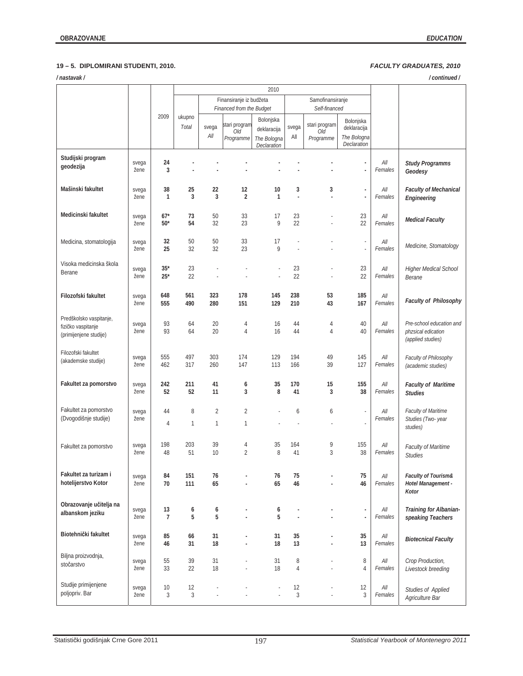| /nastavak/                                                              |               |                      |                 |                     |                                                     |                                                        |                  |                                   |                                                        |                  | /continued/                                                         |
|-------------------------------------------------------------------------|---------------|----------------------|-----------------|---------------------|-----------------------------------------------------|--------------------------------------------------------|------------------|-----------------------------------|--------------------------------------------------------|------------------|---------------------------------------------------------------------|
|                                                                         |               |                      |                 |                     |                                                     | 2010                                                   |                  |                                   |                                                        |                  |                                                                     |
|                                                                         |               |                      |                 |                     | Finansiranje iz budžeta<br>Financed from the Budget |                                                        |                  | Samofinansiranje<br>Self-financed |                                                        |                  |                                                                     |
|                                                                         |               | 2009                 | ukupno<br>Total | svega<br>$All$      | stari program<br>Old<br>Programme                   | Bolonjska<br>deklaracija<br>The Bologna<br>Declaration | svega<br>All     | stari program<br>Old<br>Programme | Bolonjska<br>deklaracija<br>The Bologna<br>Declaration |                  |                                                                     |
| Studijski program<br>geodezija                                          | svega<br>žene | 24<br>3              |                 |                     |                                                     |                                                        |                  |                                   | ٠<br>ä,                                                | All<br>Females   | <b>Study Programms</b><br>Geodesy                                   |
| Mašinski fakultet                                                       | svega<br>žene | 38<br>$\mathbf{1}$   | 25<br>3         | 22<br>3             | 12<br>2                                             | 10<br>$\mathbf{1}$                                     | 3<br>ä,          | 3                                 | $\blacksquare$<br>ä,                                   | All<br>Females   | <b>Faculty of Mechanical</b><br>Engineering                         |
| Medicinski fakultet                                                     | svega<br>žene | $67*$<br>$50*$       | 73<br>54        | 50<br>32            | 33<br>23                                            | 17<br>9                                                | 23<br>22         |                                   | 23<br>22                                               | All<br>Females   | <b>Medical Faculty</b>                                              |
| Medicina, stomatologija                                                 | svega<br>žene | 32<br>25             | 50<br>32        | 50<br>32            | 33<br>23                                            | 17<br>9                                                |                  |                                   | ä,                                                     | All<br>Females   | Medicine, Stomatology                                               |
| Visoka medicinska škola<br>Berane                                       | svega<br>žene | $35*$<br>$25*$       | 23<br>22        |                     |                                                     | ä,                                                     | 23<br>22         |                                   | 23<br>22                                               | All<br>Females   | Higher Medical School<br>Berane                                     |
| Filozofski fakultet                                                     | svega<br>žene | 648<br>555           | 561<br>490      | 323<br>280          | 178<br>151                                          | 145<br>129                                             | 238<br>210       | 53<br>43                          | 185<br>167                                             | All<br>Females   | <b>Faculty of Philosophy</b>                                        |
| Predškolsko vaspitanje,<br>fizičko vaspitanje<br>(primijenjene studije) | svega<br>žene | 93<br>93             | 64<br>64        | 20<br>20            | 4<br>4                                              | 16<br>16                                               | 44<br>44         | 4<br>4                            | 40<br>40                                               | All<br>Females   | Pre-school education and<br>phzsical edication<br>(applied studies) |
| Filozofski fakultet<br>(akademske studije)                              | svega<br>žene | 555<br>462           | 497<br>317      | 303<br>260          | 174<br>147                                          | 129<br>113                                             | 194<br>166       | 49<br>39                          | 145<br>127                                             | All<br>Females   | Faculty of Philosophy<br>(academic studies)                         |
| Fakultet za pomorstvo                                                   | svega<br>žene | 242<br>52            | 211<br>52       | 41<br>11            | 6<br>3                                              | 35<br>8                                                | 170<br>41        | 15<br>3                           | 155<br>38                                              | All<br>Females   | <b>Faculty of Maritime</b><br><b>Studies</b>                        |
| Fakultet za pomorstvo<br>(Dvogodišnje studije)                          | svega<br>žene | 44<br>4              | 8<br>1          | $\overline{2}$<br>1 | $\overline{2}$<br>1                                 |                                                        | 6                | 6                                 |                                                        | All<br>Females   | Faculty of Maritime<br>Studies (Two-year<br>studies)                |
| Fakultet za pomorstvo                                                   | svega<br>žene | 198<br>48            | 203<br>51       | 39<br>10            | 4<br>$\overline{2}$                                 | 35<br>8                                                | 164<br>41        | 9<br>3                            | 155<br>38                                              | All<br>Females   | <b>Faculty of Maritime</b><br><b>Studies</b>                        |
| Fakultet za turizam i<br>hotelijerstvo Kotor                            | svega<br>žene | 84<br>70             | 151<br>111      | 76<br>65            |                                                     | 76<br>65                                               | 75<br>46         |                                   | 75<br>46                                               | All<br>Females   | Faculty of Tourism&<br>Hotel Management -<br>Kotor                  |
| Obrazovanje učitelja na<br>albanskom jeziku                             | svega<br>žene | 13<br>$\overline{7}$ | 6<br>5          | 6<br>5              |                                                     | 6<br>5                                                 | ä,               |                                   | ٠<br>÷,                                                | All<br>Females   | Training for Albanian-<br>speaking Teachers                         |
| Biotehnički fakultet                                                    | svega<br>žene | 85<br>46             | 66<br>31        | 31<br>18            |                                                     | 31<br>18                                               | 35<br>13         | ÷,                                | 35<br>13                                               | All<br>Females   | <b>Biotecnical Faculty</b>                                          |
| Biljna proizvodnja,<br>stočarstvo                                       | svega<br>žene | 55<br>33             | 39<br>22        | 31<br>18            | ×,                                                  | 31<br>18                                               | 8<br>4           |                                   | 8<br>4                                                 | All<br>Females   | Crop Production,<br>Livestock breeding                              |
| Studije primijenjene<br>poljopriv. Bar                                  | svega<br>žene | 10<br>3              | 12<br>3         | ٠                   |                                                     | ٠<br>÷,                                                | 12<br>$\sqrt{3}$ | ä,<br>ä,                          | 12<br>3                                                | $All$<br>Females | Studies of Applied<br>Agriculture Bar                               |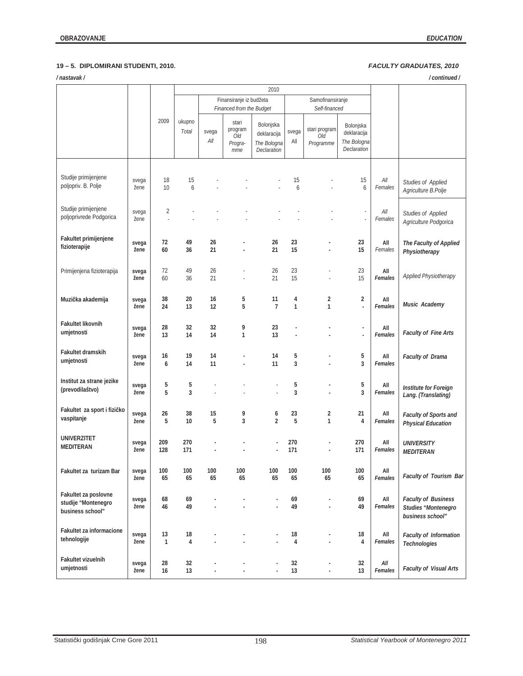## **OBRAZOVANJE** *EDUCATION*

| /continued/<br>/nastavak/                                       |               |                      |                 |              |                                           |                                                        |                   |                                   |                                                        |                |                                                                       |
|-----------------------------------------------------------------|---------------|----------------------|-----------------|--------------|-------------------------------------------|--------------------------------------------------------|-------------------|-----------------------------------|--------------------------------------------------------|----------------|-----------------------------------------------------------------------|
|                                                                 |               |                      |                 |              |                                           | 2010                                                   |                   |                                   |                                                        |                |                                                                       |
|                                                                 |               |                      |                 |              | Finansiranje iz budžeta                   |                                                        |                   | Samofinansiranje                  |                                                        |                |                                                                       |
|                                                                 |               |                      |                 |              | Financed from the Budget                  |                                                        |                   | Self-financed                     |                                                        |                |                                                                       |
|                                                                 |               | 2009                 | ukupno<br>Total | svega<br>All | stari<br>program<br>Old<br>Progra-<br>mme | Bolonjska<br>deklaracija<br>The Bologna<br>Declaration | svega<br>All      | stari program<br>Old<br>Programme | Bolonjska<br>deklaracija<br>The Bologna<br>Declaration |                |                                                                       |
| Studije primijenjene<br>poljopriv. B. Polje                     | svega<br>žene | 18<br>10             | 15<br>6         |              |                                           |                                                        | 15<br>6           |                                   | 15<br>6                                                | All<br>Females | Studies of Applied<br>Agriculture B.Polje                             |
| Studije primijenjene<br>poljoprivrede Podgorica                 | svega<br>žene | $\overline{c}$<br>ä, |                 |              |                                           |                                                        |                   |                                   | ä,                                                     | All<br>Females | Studies of Applied<br>Agriculture Podgorica                           |
| Fakultet primijenjene<br>fizioterapije                          | svega<br>žene | 72<br>60             | 49<br>36        | 26<br>21     |                                           | 26<br>21                                               | 23<br>15          |                                   | 23<br>15                                               | All<br>Females | The Faculty of Applied<br>Physiotherapy                               |
| Primijenjena fizioterapija                                      | svega<br>žene | 72<br>60             | 49<br>36        | 26<br>21     | ä,                                        | 26<br>21                                               | 23<br>15          | ä,                                | 23<br>15                                               | All<br>Females | Applied Physiotherapy                                                 |
| Muzička akademija                                               | svega<br>žene | 38<br>24             | 20<br>13        | 16<br>12     | 5<br>5                                    | 11<br>$\overline{7}$                                   | 4<br>$\mathbf{1}$ | 2<br>1                            | $\overline{2}$<br>J.                                   | All<br>Females | Music Academy                                                         |
| <b>Fakultet likovnih</b><br>umjetnosti                          | svega<br>žene | 28<br>13             | 32<br>14        | 32<br>14     | 9<br>1                                    | 23<br>13                                               |                   |                                   | ÷,<br>Ĩ.                                               | All<br>Females | <b>Faculty of Fine Arts</b>                                           |
| Fakultet dramskih<br>umjetnosti                                 | svega<br>žene | 16<br>6              | 19<br>14        | 14<br>11     |                                           | 14<br>11                                               | 5<br>3            |                                   | 5<br>3                                                 | All<br>Females | <b>Faculty of Drama</b>                                               |
| Institut za strane jezike<br>(prevodilaštvo)                    | svega<br>žene | 5<br>5               | 5<br>3          |              |                                           |                                                        | 5<br>3            | ä,                                | 5<br>3                                                 | All<br>Females | Institute for Foreign<br>Lang. (Translating)                          |
| Fakultet za sport i fizičko<br>vaspitanje                       | svega<br>žene | 26<br>5              | 38<br>10        | 15<br>5      | 9<br>3                                    | 6<br>$\overline{2}$                                    | 23<br>5           | 2<br>1                            | 21<br>4                                                | All<br>Females | Faculty of Sports and<br><b>Physical Education</b>                    |
| <b>UNIVERZITET</b><br><b>MEDITERAN</b>                          | svega<br>žene | 209<br>128           | 270<br>171      |              |                                           |                                                        | 270<br>171        |                                   | 270<br>171                                             | All<br>Females | <b>UNIVERSITY</b><br><b>MEDITERAN</b>                                 |
| Fakultet za turizam Bar                                         | svega<br>žene | 100<br>65            | 100<br>65       | 100<br>65    | 100<br>65                                 | 100<br>65                                              | 100<br>65         | 100<br>65                         | 100<br>65                                              | All<br>Females | Faculty of Tourism Bar                                                |
| Fakultet za poslovne<br>studije "Montenegro<br>business school" | svega<br>žene | 68<br>46             | 69<br>49        |              |                                           |                                                        | 69<br>49          |                                   | 69<br>49                                               | All<br>Females | <b>Faculty of Business</b><br>Studies "Montenegro<br>business school" |
| Fakultet za informacione<br>tehnologije                         | svega<br>žene | 13<br>$\mathbf{1}$   | 18<br>4         |              |                                           |                                                        | 18<br>4           |                                   | 18<br>4                                                | All<br>Females | Faculty of Information<br>Technologies                                |
| <b>Fakultet vizuelnih</b><br>umjetnosti                         | svega<br>žene | 28<br>16             | 32<br>13        | ä,           |                                           |                                                        | 32<br>13          | ä,<br>÷,                          | 32<br>13                                               | All<br>Females | Faculty of Visual Arts                                                |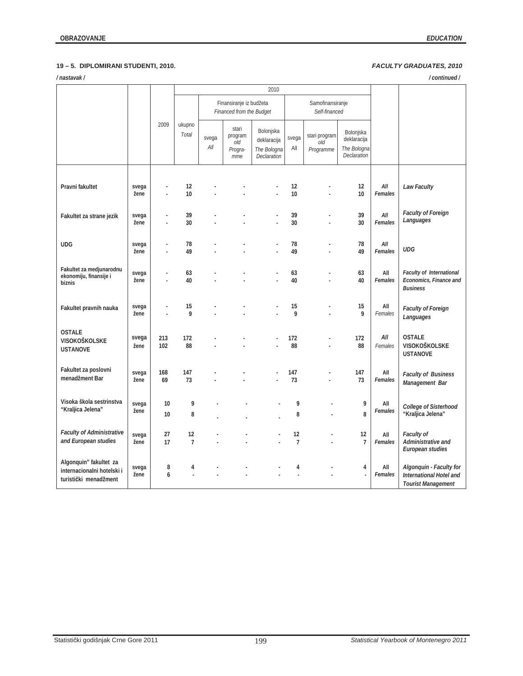| /nastavak/<br>/continued/                                                     |               |            |                      |                                                     |                                           |                                                        |                      |                                   |                                                        |                |                                                                                 |
|-------------------------------------------------------------------------------|---------------|------------|----------------------|-----------------------------------------------------|-------------------------------------------|--------------------------------------------------------|----------------------|-----------------------------------|--------------------------------------------------------|----------------|---------------------------------------------------------------------------------|
|                                                                               |               |            |                      |                                                     |                                           |                                                        |                      |                                   |                                                        |                |                                                                                 |
|                                                                               |               |            |                      | Finansiranje iz budžeta<br>Financed from the Budget |                                           |                                                        |                      | Samofinansiranje<br>Self-financed |                                                        |                |                                                                                 |
|                                                                               |               | 2009       | ukupno<br>Total      | svega<br>All                                        | stari<br>program<br>old<br>Progra-<br>mme | Bolonjska<br>deklaracija<br>The Bologna<br>Declaration | svega<br>All         | stari program<br>old<br>Programme | Bolonjska<br>deklaracija<br>The Bologna<br>Declaration |                |                                                                                 |
| Pravni fakultet                                                               | svega<br>žene |            | 12<br>10             |                                                     |                                           |                                                        | 12<br>10             |                                   | 12<br>10                                               | All<br>Females | Law Faculty                                                                     |
| Fakultet za strane jezik                                                      | svega<br>žene | ä,         | 39<br>30             |                                                     |                                           |                                                        | 39<br>30             | L,                                | 39<br>30                                               | All<br>Females | <b>Faculty of Foreign</b><br>Languages                                          |
| UDG                                                                           | svega<br>žene |            | 78<br>49             |                                                     |                                           |                                                        | 78<br>49             |                                   | 78<br>49                                               | All<br>Females | <b>UDG</b>                                                                      |
| Fakultet za medjunarodnu<br>ekonomiju, finansije i<br>biznis                  | svega<br>žene |            | 63<br>40             |                                                     |                                           |                                                        | 63<br>40             |                                   | 63<br>40                                               | All<br>Females | <b>Faculty of International</b><br>Economics, Finance and<br><b>Business</b>    |
| Fakultet pravnih nauka                                                        | svega<br>žene |            | 15<br>9              |                                                     |                                           |                                                        | 15<br>9              |                                   | 15<br>9                                                | All<br>Females | Faculty of Foreign<br>Languages                                                 |
| <b>OSTALE</b><br>VISOKOŠKOLSKE<br><b>USTANOVE</b>                             | svega<br>žene | 213<br>102 | 172<br>88            |                                                     |                                           |                                                        | 172<br>88            | L.                                | 172<br>88                                              | All<br>Females | <b>OSTALE</b><br>VISOKOŠKOLSKE<br><b>USTANOVE</b>                               |
| Fakultet za poslovni<br>menadžment Bar                                        | svega<br>žene | 168<br>69  | 147<br>73            |                                                     |                                           |                                                        | 147<br>73            |                                   | 147<br>73                                              | All<br>Females | <b>Faculty of Business</b><br>Management Bar                                    |
| Visoka škola sestrinstva<br>"Kraljica Jelena"                                 | svega<br>žene | 10<br>10   | 9<br>8               |                                                     |                                           |                                                        | 9<br>8               |                                   | 9<br>8                                                 | All<br>Females | <b>College of Sisterhood</b><br>"Kraljica Jelena"                               |
| <b>Faculty of Administrative</b><br>and European studies                      | svega<br>žene | 27<br>17   | 12<br>$\overline{7}$ |                                                     |                                           |                                                        | 12<br>$\overline{7}$ |                                   | 12<br>$\overline{7}$                                   | All<br>Females | Faculty of<br>Administrative and<br>European studies                            |
| Algonquin" fakultet za<br>internacionalni hotelski i<br>turistički menadžment | svega<br>žene | 8<br>6     | 4                    |                                                     |                                           |                                                        | 4                    |                                   | 4<br>ä,                                                | All<br>Females | Algonquin - Faculty for<br>International Hotel and<br><b>Tourist Management</b> |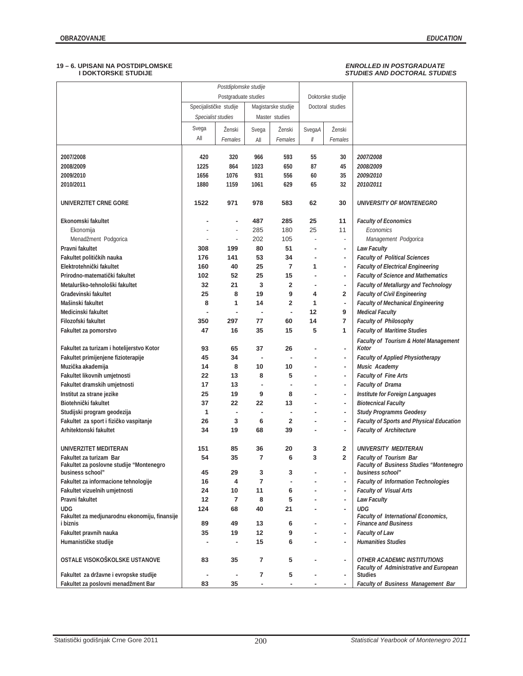## $\emph{ENROLLED IN POSTGRADUATE}$ <br> $\emph{STUDIES AND DOCTORAL STUDIES}$

|                                                                       |              | Postdiplomske studije   |                      |                     |          |                               |                                                                                     |
|-----------------------------------------------------------------------|--------------|-------------------------|----------------------|---------------------|----------|-------------------------------|-------------------------------------------------------------------------------------|
|                                                                       |              | Postgraduate studies    |                      |                     |          | Doktorske studije             |                                                                                     |
|                                                                       |              | Specijalističke studije |                      | Magistarske studije |          | Doctoral studies              |                                                                                     |
|                                                                       |              |                         |                      |                     |          |                               |                                                                                     |
|                                                                       |              | Specialist studies      |                      | Master studies      |          |                               |                                                                                     |
|                                                                       | Svega        | Ženski                  | Svega                | Ženski              | SvegaA   | Ženski                        |                                                                                     |
|                                                                       | All          | Females                 | All                  | Females             | 11       | Females                       |                                                                                     |
|                                                                       |              |                         |                      |                     |          |                               |                                                                                     |
| 2007/2008                                                             | 420          | 320                     | 966                  | 593                 | 55       | 30                            | 2007/2008                                                                           |
| 2008/2009<br>2009/2010                                                | 1225         | 864<br>1076             | 1023<br>931          | 650<br>556          | 87       | 45<br>35                      | 2008/2009<br>2009/2010                                                              |
| 2010/2011                                                             | 1656<br>1880 | 1159                    | 1061                 | 629                 | 60<br>65 | 32                            | 2010/2011                                                                           |
|                                                                       |              |                         |                      |                     |          |                               |                                                                                     |
| UNIVERZITET CRNE GORE                                                 | 1522         | 971                     | 978                  | 583                 | 62       | 30                            | UNIVERSITY OF MONTENEGRO                                                            |
| Ekonomski fakultet                                                    |              |                         | 487                  | 285                 | 25       | 11                            | <b>Faculty of Economics</b>                                                         |
| Ekonomija                                                             |              | ÷                       | 285                  | 180                 | 25       | 11                            | Economics                                                                           |
| Menadžment Podgorica                                                  |              | $\overline{a}$          | 202                  | 105                 | ÷,       | $\overline{\phantom{a}}$      | Management Podgorica                                                                |
| Pravni fakultet                                                       | 308          | 199                     | 80                   | 51                  | ٠        | ٠                             | <b>Law Faculty</b>                                                                  |
| Fakultet političkih nauka                                             | 176          | 141                     | 53                   | 34                  |          | $\blacksquare$                | <b>Faculty of Political Sciences</b>                                                |
| Elektrotehnički fakultet                                              | 160          | 40                      | 25                   | 7                   | 1        | ٠                             | <b>Faculty of Electrical Engineering</b>                                            |
| Prirodno-matematički fakultet                                         | 102          | 52                      | 25                   | 15                  |          | ٠                             | <b>Faculty of Science and Mathematics</b>                                           |
| Metalurško-tehnološki fakultet                                        | 32           | 21                      | 3                    | 2                   | ä,       | ٠                             | <b>Faculty of Metallurgy and Technology</b>                                         |
| Građevinski fakultet                                                  | 25           | 8                       | 19                   | 9                   | 4        | 2                             | <b>Faculty of Civil Engineering</b>                                                 |
| Mašinski fakultet                                                     | 8            | 1                       | 14                   | 2                   | 1        | $\blacksquare$                | <b>Faculty of Mechanical Engineering</b>                                            |
| Medicinski fakultet                                                   | ٠            |                         | ٠                    | ä,                  | 12       | 9                             | <b>Medical Faculty</b>                                                              |
| Filozofski fakultet                                                   | 350          | 297                     | 77                   | 60                  | 14       | 7                             | Faculty of Philosophy                                                               |
| Fakultet za pomorstvo                                                 | 47           | 16                      | 35                   | 15                  | 5        | 1                             | <b>Faculty of Maritime Studies</b>                                                  |
| Fakultet za turizam i hotelijerstvo Kotor                             | 93           | 65                      | 37                   | 26                  |          | $\blacksquare$                | Faculty of Tourism & Hotel Management<br>Kotor                                      |
| Fakultet primijenjene fizioterapije                                   | 45           | 34                      | $\blacksquare$       |                     |          | ٠                             | <b>Faculty of Applied Physiotherapy</b>                                             |
| Muzička akademija                                                     | 14           | 8                       | 10                   | 10                  | ٠        | ٠                             | Music Academy                                                                       |
| Fakultet likovnih umjetnosti                                          | 22           | 13                      | 8                    | 5                   |          | $\blacksquare$                | <b>Faculty of Fine Arts</b>                                                         |
| Fakultet dramskih umjetnosti                                          | 17           | 13                      | ä,                   | ٠                   |          | $\blacksquare$                | <b>Faculty of Drama</b>                                                             |
| Institut za strane jezike                                             | 25           | 19                      | 9                    | 8                   |          | ٠                             | Institute for Foreign Languages                                                     |
| Biotehnički fakultet                                                  | 37           | 22                      | 22                   | 13                  |          | ٠                             | <b>Biotecnical Faculty</b>                                                          |
| Studijski program geodezija                                           | 1            |                         | ٠                    | ٠                   |          | ٠                             | <b>Study Programms Geodesy</b>                                                      |
| Fakultet za sport i fizičko vaspitanje                                | 26           | 3                       | 6                    | 2                   |          | ٠                             | <b>Faculty of Sports and Physical Education</b>                                     |
| Arhitektonski fakultet                                                | 34           | 19                      | 68                   | 39                  |          | ۰                             | <b>Faculty of Architecture</b>                                                      |
| UNIVERZITET MEDITERAN                                                 | 151          | 85                      | 36                   | 20                  | 3        | 2                             | <b>UNIVERSITY MEDITERAN</b>                                                         |
| Fakultet za turizam Bar                                               | 54           | 35                      | 7                    | 6                   | 3        | 2                             | <b>Faculty of Tourism Bar</b>                                                       |
| Fakultet za poslovne studije "Montenegro                              |              |                         |                      |                     |          |                               | Faculty of Business Studies "Montenegro                                             |
| business school"                                                      | 45           | 29                      | 3                    | 3                   |          | $\blacksquare$                | business school"                                                                    |
| Fakultet za informacione tehnologije<br>Fakultet vizuelnih umjetnosti | 16<br>24     | 4<br>10                 | $\overline{7}$<br>11 | 6                   |          | $\overline{\phantom{a}}$<br>٠ | <b>Faculty of Information Technologies</b><br>Faculty of Visual Arts                |
|                                                                       |              |                         |                      |                     |          |                               |                                                                                     |
| Pravni fakultet<br><b>UDG</b>                                         | 12<br>124    | 7<br>68                 | 8<br>40              | 5<br>21             | ٠        | ۰<br>٠                        | <b>Law Faculty</b><br><b>UDG</b>                                                    |
| Fakultet za medjunarodnu ekonomiju, finansije<br>i biznis             | 89           | 49                      | 13                   | 6                   |          | ٠                             | <b>Faculty of International Economics,</b><br><b>Finance and Business</b>           |
| Fakultet pravnih nauka                                                | 35           | 19                      | 12                   | 9                   |          | ٠                             | <b>Faculty of Law</b>                                                               |
| Humanističke studije                                                  | ٠            | ٠                       | 15                   | 6                   | ä,       | $\overline{\phantom{a}}$      | <b>Humanities Studies</b>                                                           |
|                                                                       |              |                         |                      |                     |          |                               |                                                                                     |
| OSTALE VISOKOŠKOLSKE USTANOVE                                         | 83           | 35                      | 7                    | 5                   |          | $\overline{\phantom{a}}$      | <b>OTHER ACADEMIC INSTITUTIONS</b><br><b>Faculty of Administrative and European</b> |
| Fakultet za državne i evropske studije                                |              |                         | 7                    | 5                   |          | ٠                             | <b>Studies</b>                                                                      |
| Fakultet za poslovni menadžment Bar                                   | 83           | 35                      |                      |                     |          | ٠                             | Faculty of Business Management Bar                                                  |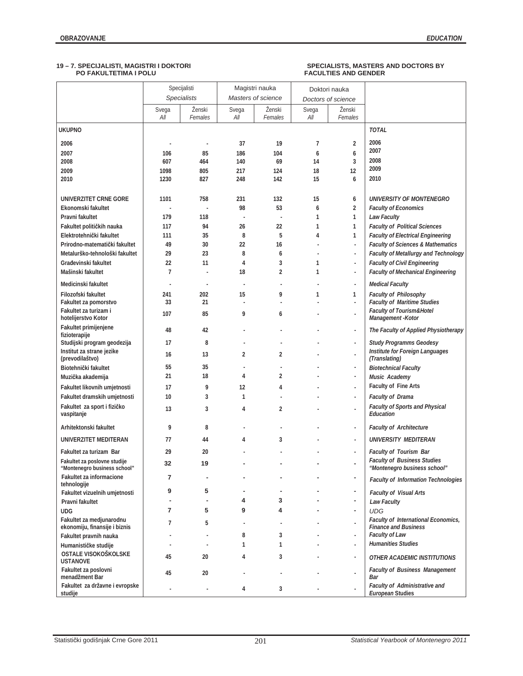|                                                              |                | Specijalisti<br><b>Specialists</b> |                | Magistri nauka<br>Masters of science | Doktori nauka<br>Doctors of science |                          |                                                                    |
|--------------------------------------------------------------|----------------|------------------------------------|----------------|--------------------------------------|-------------------------------------|--------------------------|--------------------------------------------------------------------|
|                                                              |                |                                    |                |                                      |                                     |                          |                                                                    |
|                                                              | Svega<br>All   | Ženski<br>Females                  | Svega<br>All   | Ženski<br>Females                    | Svega<br>All                        | Ženski<br>Females        |                                                                    |
| <b>UKUPNO</b>                                                |                |                                    |                |                                      |                                     |                          | <b>TOTAL</b>                                                       |
| 2006                                                         |                | ×,                                 | 37             | 19                                   | 7                                   | 2                        | 2006                                                               |
| 2007                                                         | 106            | 85                                 | 186            | 104                                  | 6                                   | 6                        | 2007                                                               |
| 2008                                                         | 607            | 464                                | 140            | 69                                   | 14                                  | 3                        | 2008                                                               |
| 2009                                                         | 1098           | 805                                | 217            | 124                                  | 18                                  | 12                       | 2009                                                               |
| 2010                                                         | 1230           | 827                                | 248            | 142                                  | 15                                  | 6                        | 2010                                                               |
| UNIVERZITET CRNE GORE                                        | 1101           | 758                                | 231            | 132                                  | 15                                  | 6                        | <b>UNIVERSITY OF MONTENEGRO</b>                                    |
| Ekonomski fakultet                                           |                | ä,                                 | 98             | 53                                   | 6                                   | $\overline{2}$           | <b>Faculty of Economics</b>                                        |
| Pravni fakultet                                              | 179            | 118                                | ÷,             | ÷,                                   | 1                                   | 1                        | <b>Law Faculty</b>                                                 |
| Fakultet političkih nauka                                    | 117            | 94                                 | 26             | 22                                   | 1                                   | 1                        | <b>Faculty of Political Sciences</b>                               |
| Elektrotehnički fakultet                                     | 111            | 35                                 | 8              | 5                                    | 4                                   | 1                        | <b>Faculty of Electrical Engineering</b>                           |
| Prirodno-matematički fakultet                                | 49             | 30                                 | 22             | 16                                   |                                     | $\overline{\phantom{a}}$ | <b>Faculty of Sciences &amp; Mathematics</b>                       |
| Metalurško-tehnološki fakultet                               | 29             | 23                                 | 8              | 6                                    |                                     | ÷,                       | Faculty of Metallurgy and Technology                               |
| Građevinski fakultet                                         | 22             | 11                                 | $\overline{4}$ | 3                                    | 1                                   | ÷,                       | <b>Faculty of Civil Engineering</b>                                |
| Mašinski fakultet                                            | $\overline{7}$ |                                    | 18             | $\overline{2}$                       | 1                                   | $\overline{\phantom{a}}$ | <b>Faculty of Mechanical Engineering</b>                           |
| Medicinski fakultet                                          | $\overline{a}$ |                                    | ÷,             |                                      |                                     | $\overline{\phantom{a}}$ | <b>Medical Faculty</b>                                             |
|                                                              |                |                                    |                |                                      |                                     |                          |                                                                    |
| Filozofski fakultet<br>Fakultet za pomorstvo                 | 241<br>33      | 202<br>21                          | 15<br>J.       | 9                                    | 1                                   | 1<br>×.                  | <b>Faculty of Philosophy</b><br><b>Faculty of Maritime Studies</b> |
| Fakultet za turizam i                                        | 107            | 85                                 | 9              | 6                                    |                                     | ×,                       | <b>Faculty of Tourism&amp;Hotel</b>                                |
| hotelijerstvo Kotor<br>Fakultet primijenjene                 | 48             | 42                                 |                |                                      |                                     | ÷,                       | Management - Kotor<br>The Faculty of Applied Physiotherapy         |
| fizioterapije                                                |                |                                    |                |                                      |                                     |                          |                                                                    |
| Studijski program geodezija                                  | 17             | 8                                  |                |                                      |                                     | ×,                       | <b>Study Programms Geodesy</b>                                     |
| Institut za strane jezike<br>(prevodilaštvo)                 | 16             | 13                                 | 2              | 2                                    |                                     | ä,                       | Institute for Foreign Languages<br>(Translating)                   |
| Biotehnički fakultet                                         | 55             | 35                                 |                |                                      |                                     | ×,                       | <b>Biotechnical Faculty</b>                                        |
| Muzička akademija                                            | 21             | 18                                 | 4              | 2                                    |                                     | ×,                       | Music Academy                                                      |
| Fakultet likovnih umjetnosti                                 | 17             | 9                                  | 12             | 4                                    |                                     | ×,                       | Faculty of Fine Arts                                               |
| Fakultet dramskih umjetnosti                                 | 10             | 3                                  | 1              |                                      |                                     | $\overline{\phantom{a}}$ | <b>Faculty of Drama</b>                                            |
| Fakultet za sport i fizičko                                  |                |                                    |                |                                      |                                     |                          | Faculty of Sports and Physical                                     |
| vaspitanje                                                   | 13             | 3                                  | 4              | 2                                    |                                     | ä,                       | Education                                                          |
| Arhitektonski fakultet                                       | 9              | 8                                  |                |                                      |                                     | $\overline{\phantom{a}}$ | <b>Faculty of Architecture</b>                                     |
| UNIVERZITET MEDITERAN                                        | 77             | 44                                 | 4              | 3                                    |                                     | ×,                       | UNIVERSITY MEDITERAN                                               |
| Fakultet za turizam Bar                                      | 29             | 20                                 |                |                                      |                                     | ÷,                       | <b>Faculty of Tourism Bar</b>                                      |
| Fakultet za poslovne studije<br>"Montenegro business school" | 32             | 19                                 |                |                                      |                                     | $\overline{\phantom{a}}$ | <b>Faculty of Business Studies</b><br>"Montenegro business school" |
| Fakultet za informacione<br>tehnologije                      | 7              | ٠                                  |                |                                      |                                     | ٠                        | <b>Faculty of Information Technologies</b>                         |
| Fakultet vizuelnih umjetnosti                                | 9              | 5                                  |                |                                      |                                     | $\blacksquare$           | <b>Faculty of Visual Arts</b>                                      |
| Pravni fakultet                                              |                | ä,                                 | 4              | 3                                    |                                     | $\sim$                   | <b>Law Faculty</b>                                                 |
| <b>UDG</b>                                                   | 7              | 5                                  | 9              | 4                                    |                                     | $\blacksquare$           | <b>UDG</b>                                                         |
| Fakultet za medjunarodnu                                     |                |                                    |                |                                      |                                     |                          | <b>Faculty of International Economics,</b>                         |
| ekonomiju, finansije i biznis                                | 7              | 5                                  |                |                                      |                                     | ÷,                       | <b>Finance and Business</b>                                        |
| Fakultet pravnih nauka                                       |                | $\overline{\phantom{a}}$           | 8              | 3                                    |                                     | ÷,                       | Faculty of Law                                                     |
| Humanističke studije                                         |                |                                    | $\mathbf{1}$   | 1                                    |                                     | ÷,                       | <b>Humanities Studies</b>                                          |
| OSTALE VISOKOŠKOLSKE<br><b>USTANOVE</b>                      | 45             | 20                                 | 4              | 3                                    |                                     | $\overline{\phantom{a}}$ | <b>OTHER ACADEMIC INSTITUTIONS</b>                                 |
| Fakultet za poslovni<br>menadžment Bar                       | 45             | 20                                 |                |                                      |                                     | ÷,                       | <b>Faculty of Business Management</b><br>Bar                       |
| Fakultet za državne i evropske<br>studije                    |                | ä,                                 | 4              | 3                                    |                                     | ×,                       | <b>Faculty of Administrative and</b><br>European Studies           |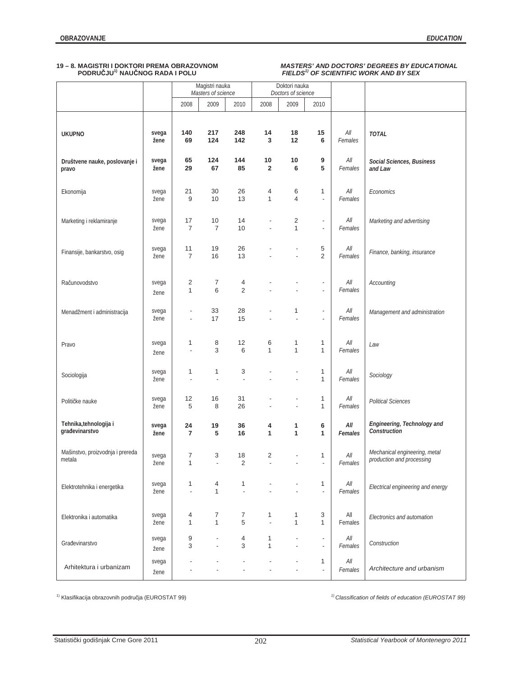## **PODRUýJU1) NAUýNOG RADA I POLU** *FIELDS1) OF SCIENTIFIC WORK AND BY SEX*

## **19 – 8. MAGISTRI I DOKTORI PREMA OBRAZOVNOM** *MASTERS' AND DOCTORS' DEGREES BY EDUCATIONAL*

|                                            |               |                                  | Magistri nauka<br>Masters of science |                     | Doktori nauka<br>Doctors of science |                                  |                                                      |                  |                                                            |
|--------------------------------------------|---------------|----------------------------------|--------------------------------------|---------------------|-------------------------------------|----------------------------------|------------------------------------------------------|------------------|------------------------------------------------------------|
|                                            |               | 2008                             | 2009                                 | 2010                | 2008                                | 2009                             | 2010                                                 |                  |                                                            |
| <b>UKUPNO</b>                              | svega<br>žene | 140<br>69                        | 217<br>124                           | 248<br>142          | 14<br>3                             | 18<br>12                         | 15<br>6                                              | $All$<br>Females | <b>TOTAL</b>                                               |
| Društvene nauke, poslovanje i<br>pravo     | svega<br>žene | 65<br>29                         | 124<br>67                            | 144<br>85           | $10$<br>$\overline{\mathbf{2}}$     | 10<br>6                          | 9<br>5                                               | $All$<br>Females | Social Sciences, Business<br>and Law                       |
| Ekonomija                                  | svega<br>žene | 21<br>9                          | 30<br>10                             | 26<br>13            | 4<br>$\mathbf{1}$                   | 6<br>4                           | 1<br>$\overline{\phantom{a}}$                        | $All$<br>Females | Economics                                                  |
| Marketing i reklamiranje                   | svega<br>žene | 17<br>$\overline{7}$             | 10<br>$\overline{7}$                 | 14<br>10            | $\overline{a}$<br>$\overline{a}$    | $\overline{c}$<br>$\mathbf{1}$   | $\overline{\phantom{a}}$<br>$\overline{\phantom{a}}$ | All<br>Females   | Marketing and advertising                                  |
| Finansije, bankarstvo, osig                | svega<br>žene | 11<br>$\overline{7}$             | 19<br>16                             | 26<br>13            |                                     | $\overline{a}$<br>$\overline{a}$ | 5<br>$\overline{2}$                                  | $All$<br>Females | Finance, banking, insurance                                |
| Računovodstvo                              | svega<br>žene | 2<br>1                           | 7<br>6                               | 4<br>$\overline{2}$ |                                     |                                  | $\overline{\phantom{a}}$<br>$\blacksquare$           | $All$<br>Females | Accounting                                                 |
| Menadžment i administracija                | svega<br>žene | $\overline{a}$<br>$\blacksquare$ | 33<br>17                             | 28<br>15            | $\overline{\phantom{a}}$            | 1<br>$\overline{a}$              | $\overline{\phantom{a}}$<br>$\overline{\phantom{a}}$ | $All$<br>Females | Management and administration                              |
| Pravo                                      | svega<br>žene | 1                                | 8<br>3                               | 12<br>6             | 6<br>$\mathbf{1}$                   | 1<br>$\mathbf{1}$                | 1<br>1                                               | $All$<br>Females | Law                                                        |
| Sociologija                                | svega<br>žene | 1<br>$\overline{a}$              | 1<br>$\overline{a}$                  | 3<br>$\blacksquare$ |                                     | $\overline{a}$                   | 1<br>1                                               | All<br>Females   | Sociology                                                  |
| Političke nauke                            | svega<br>žene | 12<br>5                          | 16<br>8                              | 31<br>26            | ÷,                                  | $\overline{a}$                   | 1<br>1                                               | $All$<br>Females | <b>Political Sciences</b>                                  |
| Tehnika, tehnologija i<br>građevinarstvo   | svega<br>žene | 24<br>$\overline{\phantom{a}}$   | 19<br>5                              | 36<br>16            | 4<br>1                              | 1<br>1                           | 6<br>1                                               | All<br>Females   | Engineering, Technology and<br>Construction                |
| Mašinstvo, proizvodnja i prereda<br>metala | svega<br>žene | 7<br>1                           | 3                                    | 18<br>2             | $\overline{2}$                      |                                  | 1                                                    | $All$<br>Females | Mechanical engineering, metal<br>production and processing |
| Elektrotehnika i energetika                | svega<br>žene | 1<br>$\overline{a}$              | 4<br>$\mathbf{1}$                    | 1                   |                                     | $\overline{a}$                   | 1<br>$\blacksquare$                                  | All<br>Females   | Electrical engineering and energy                          |
| Elektronika i automatika                   | svega<br>žene | 4<br>$\mathbf{1}$                | 7<br>$\mathbf{1}$                    | 7<br>5              | 1<br>÷,                             | 1<br>$\mathbf{1}$                | 3<br>1                                               | All<br>Females   | Electronics and automation                                 |
| Građevinarstvo                             | svega<br>žene | 9<br>3                           | $\overline{a}$<br>$\overline{a}$     | 4<br>3              | 1<br>1                              |                                  | $\overline{\phantom{a}}$<br>$\overline{\phantom{a}}$ | All<br>Females   | Construction                                               |
| Arhitektura i urbanizam                    | svega<br>žene |                                  |                                      | $\overline{a}$      |                                     | $\overline{a}$                   | 1<br>$\overline{\phantom{a}}$                        | $All$<br>Females | Architecture and urbanism                                  |

<sup>1)</sup> Klasifikacija obrazovnih područja (EUROSTAT 99) **1 1** *1 1 Classification of fields of education (EUROSTAT 99) 1 Classification of fields of education (EUROSTAT 99)*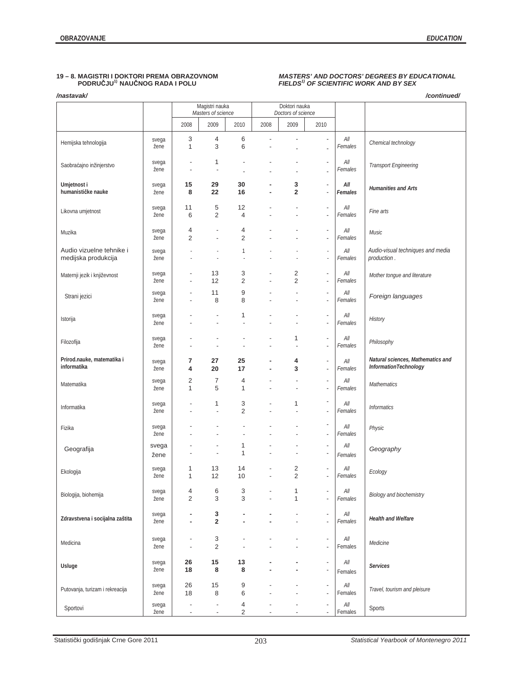## **19 - 8. MAGISTRI I DOKTORI PREMA OBRAZOVNOM PODRUČJU<sup>1)</sup> NAUČNOG RADA I POLU**

### */nastavak/ /continued/*

## 19 MASTERS' AND DOCTORS' DEGREES BY EDUCATIONAL<br>FIELDS<sup>1)</sup> OF SCIENTIFIC WORK AND BY SEX

|                                                 |               |                                                      | Magistri nauka<br>Masters of science              | Doktori nauka<br>Doctors of science |                          |                                  |                                                      |                                     |                                                            |
|-------------------------------------------------|---------------|------------------------------------------------------|---------------------------------------------------|-------------------------------------|--------------------------|----------------------------------|------------------------------------------------------|-------------------------------------|------------------------------------------------------------|
|                                                 |               | 2008                                                 | 2009                                              | 2010                                | 2008                     | 2009                             | 2010                                                 |                                     |                                                            |
| Hemijska tehnologija                            | svega<br>žene | 3<br>$\mathbf{1}$                                    | 4<br>3                                            | 6<br>6                              | $\overline{a}$           | Ĭ.                               | $\overline{\phantom{a}}$<br>$\overline{a}$           | All<br>Females                      | Chemical technology                                        |
| Saobraćajno inžinjerstvo                        | svega<br>žene | $\overline{\phantom{a}}$<br>$\overline{\phantom{a}}$ | 1<br>÷,                                           | Ĭ.                                  |                          |                                  | $\overline{\phantom{a}}$<br>$\overline{a}$           | All<br>Females                      | Transport Engineering                                      |
| Umjetnost i<br>humanističke nauke               | svega<br>žene | 15<br>8                                              | 29<br>22                                          | 30<br>16                            | ٠                        | 3<br>$\overline{\mathbf{2}}$     | $\overline{\phantom{a}}$<br>$\overline{a}$           | All<br>Females                      | <b>Humanities and Arts</b>                                 |
| Likovna umjetnost                               | svega<br>žene | 11<br>6                                              | 5<br>$\overline{2}$                               | 12<br>4                             |                          | $\overline{a}$                   | $\overline{\phantom{a}}$<br>$\overline{\phantom{a}}$ | $All$<br>Females                    | Fine arts                                                  |
| Muzika                                          | svega<br>žene | 4<br>2                                               | ÷,<br>÷,                                          | 4<br>2                              |                          |                                  | $\overline{\phantom{a}}$<br>$\overline{\phantom{a}}$ | All<br>Females                      | Music                                                      |
| Audio vizuelne tehnike i<br>medijska produkcija | svega<br>žene |                                                      | ł,                                                | 1                                   |                          |                                  | ÷<br>÷                                               | All<br>Females                      | Audio-visual techniques and media<br>production.           |
| Maternji jezik i književnost                    | svega<br>žene | $\overline{a}$                                       | 13<br>12                                          | 3<br>2                              | $\overline{a}$           | 2<br>$\overline{2}$              | $\overline{\phantom{a}}$<br>$\overline{\phantom{a}}$ | All<br>Females                      | Mother tongue and literature                               |
| Strani jezici                                   | svega<br>žene |                                                      | 11<br>8                                           | 9<br>8                              |                          | $\overline{a}$                   | $\overline{\phantom{a}}$<br>$\overline{\phantom{a}}$ | All<br>Females                      | Foreign languages                                          |
| Istorija                                        | svega<br>žene |                                                      | $\overline{a}$<br>٠                               | 1<br>$\overline{\phantom{a}}$       |                          |                                  | $\overline{\phantom{a}}$<br>$\overline{\phantom{a}}$ | All<br>Females                      | History                                                    |
| Filozofija                                      | svega<br>žene |                                                      | ×,                                                | $\overline{a}$                      | $\overline{a}$           | 1<br>٠                           | $\overline{\phantom{a}}$<br>$\overline{\phantom{a}}$ | All<br>Females                      | Philosophy                                                 |
| Prirod.nauke, matematika i<br>informatika       | svega<br>žene | 7<br>4                                               | 27<br>20                                          | 25<br>17                            | ä,                       | 4<br>3                           | $\overline{\phantom{a}}$<br>$\overline{\phantom{a}}$ | All<br>Females                      | Natural sciences, Mathematics and<br>InformationTechnology |
| Matematika                                      | svega<br>žene | 2<br>$\mathbf{1}$                                    | $\overline{7}$<br>5                               | 4<br>$\mathbf{1}$                   |                          | $\overline{a}$<br>$\overline{a}$ | $\overline{\phantom{a}}$<br>$\overline{\phantom{a}}$ | All<br>Females                      | Mathematics                                                |
| Informatika                                     | svega<br>žene |                                                      | 1<br>$\blacksquare$                               | 3<br>$\overline{2}$                 |                          | 1<br>$\overline{\phantom{a}}$    | $\overline{\phantom{a}}$<br>$\overline{\phantom{a}}$ | All<br>Females                      | <b>Informatics</b>                                         |
| Fizika                                          | svega<br>žene |                                                      | $\overline{a}$                                    |                                     |                          |                                  | $\overline{\phantom{a}}$<br>$\overline{\phantom{a}}$ | All<br>Females                      | Physic                                                     |
| Geografija                                      | svega<br>žene |                                                      | ×,<br>Ĭ.                                          | 1<br>1                              |                          |                                  | $\blacksquare$<br>$\overline{a}$                     | All<br>Females                      | Geography                                                  |
| Ekologija                                       | svega<br>žene | 1<br>$\mathbf{1}$                                    | 13<br>12                                          | 14<br>10                            | $\overline{a}$           | $\overline{c}$<br>$\overline{2}$ | $\overline{a}$<br>$\overline{a}$                     | $All$<br>Females                    | Ecology                                                    |
| Biologija, biohemija                            | svega<br>žene | 4<br>2                                               | 6<br>3                                            | 3<br>3                              |                          | 1<br>$\mathbf{1}$                | $\overline{\phantom{m}}$<br>$\overline{a}$           | All<br>Females                      | Biology and biochemistry                                   |
| Zdravstvena i socijalna zaštita                 | svega<br>žene | ٠                                                    | 3<br>$\overline{\mathbf{2}}$                      |                                     |                          |                                  | $\overline{\phantom{a}}$<br>$\overline{\phantom{a}}$ | $\mathcal{A}\mathcal{U}$<br>Females | <b>Health and Welfare</b>                                  |
| Medicina                                        | svega<br>žene | $\overline{\phantom{a}}$                             | 3<br>$\sqrt{2}$                                   |                                     |                          |                                  | $\overline{\phantom{a}}$<br>$\overline{\phantom{a}}$ | All<br>Females                      | Medicine                                                   |
| Usluge                                          | svega<br>žene | 26<br>18                                             | 15<br>8                                           | 13<br>8                             |                          |                                  | $\overline{\phantom{a}}$<br>$\overline{\phantom{a}}$ | All<br>Females                      | <b>Services</b>                                            |
| Putovanja, turizam i rekreacija                 | svega<br>žene | 26<br>18                                             | 15<br>8                                           | 9<br>6                              |                          |                                  | $\overline{\phantom{a}}$<br>$\overline{\phantom{a}}$ | All<br>Females                      | Travel, tourism and pleisure                               |
| Sportovi                                        | svega<br>žene | $\overline{\phantom{m}}$<br>$\overline{\phantom{a}}$ | $\centering \label{eq:reduced}$<br>$\blacksquare$ | 4<br>2                              | $\overline{\phantom{a}}$ | $\overline{\phantom{a}}$         | $\overline{\phantom{a}}$<br>$\overline{\phantom{a}}$ | $All$<br>Females                    | Sports                                                     |